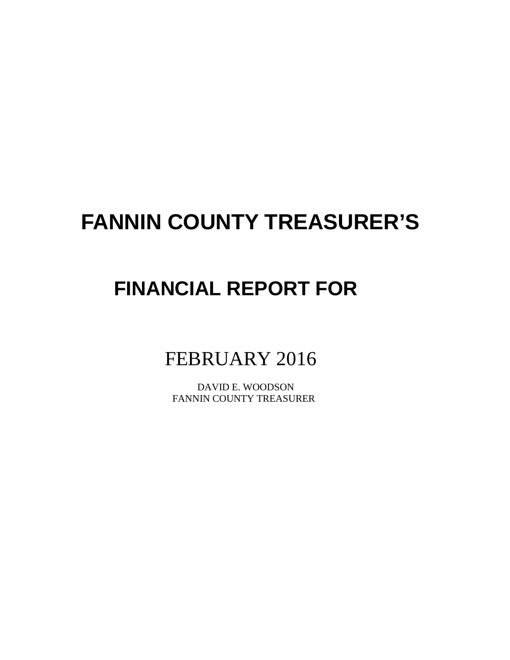# **FANNIN COUNTY TREASURER'S**

## **FINANCIAL REPORT FOR**

### FEBRUARY 2016

 DAVID E. WOODSON FANNIN COUNTY TREASURER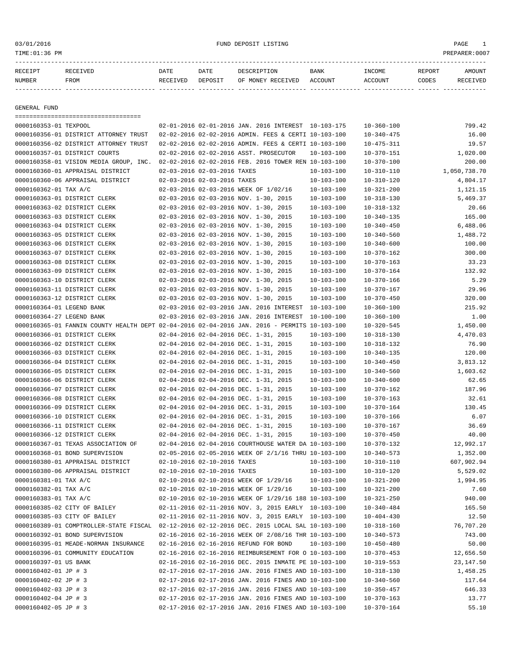#### 03/01/2016 FUND DEPOSIT LISTING PAGE 1

| RECEIPT | <b>RECEIVED</b> | DATE            | DATE    | DESCRIPTION       | <b>BANK</b> | INCOME  | REPORT | AMOUNT          |
|---------|-----------------|-----------------|---------|-------------------|-------------|---------|--------|-----------------|
| NUMBER  | FROM            | <b>RECEIVED</b> | DEPOSIT | OF MONEY RECEIVED | ACCOUNT     | ACCOUNT | CODES  | <b>RECEIVED</b> |
|         |                 |                 |         |                   |             |         |        |                 |

GENERAL FUND

| =====================================                                                        |                             |                                                      |                  |                  |              |
|----------------------------------------------------------------------------------------------|-----------------------------|------------------------------------------------------|------------------|------------------|--------------|
| 0000160353-01 TEXPOOL                                                                        |                             | 02-01-2016 02-01-2016 JAN. 2016 INTEREST 10-103-175  |                  | $10 - 360 - 100$ | 799.42       |
| 0000160356-01 DISTRICT ATTORNEY TRUST                                                        |                             | 02-02-2016 02-02-2016 ADMIN. FEES & CERTI 10-103-100 |                  | $10 - 340 - 475$ | 16.00        |
| 0000160356-02 DISTRICT ATTORNEY TRUST                                                        |                             | 02-02-2016 02-02-2016 ADMIN. FEES & CERTI 10-103-100 |                  | $10 - 475 - 311$ | 19.57        |
| 0000160357-01 DISTRICT COURTS                                                                |                             | 02-02-2016 02-02-2016 ASST. PROSECUTOR               | $10 - 103 - 100$ | $10 - 370 - 151$ | 1,020.00     |
| 0000160358-01 VISION MEDIA GROUP, INC.                                                       |                             | 02-02-2016 02-02-2016 FEB. 2016 TOWER REN 10-103-100 |                  | $10 - 370 - 100$ | 200.00       |
| 0000160360-01 APPRAISAL DISTRICT                                                             | 02-03-2016 02-03-2016 TAXES |                                                      | $10 - 103 - 100$ | $10 - 310 - 110$ | 1,050,738.70 |
| 0000160360-06 APPRAISAL DISTRICT                                                             | 02-03-2016 02-03-2016 TAXES |                                                      | $10 - 103 - 100$ | $10 - 310 - 120$ | 4,804.17     |
| 0000160362-01 TAX A/C                                                                        |                             | 02-03-2016 02-03-2016 WEEK OF 1/02/16                | $10 - 103 - 100$ | $10 - 321 - 200$ | 1,121.15     |
| 0000160363-01 DISTRICT CLERK                                                                 |                             | 02-03-2016 02-03-2016 NOV. 1-30, 2015                | $10 - 103 - 100$ | $10 - 318 - 130$ | 5,469.37     |
| 0000160363-02 DISTRICT CLERK                                                                 |                             | 02-03-2016 02-03-2016 NOV. 1-30, 2015                | $10 - 103 - 100$ | $10 - 318 - 132$ | 20.66        |
| 0000160363-03 DISTRICT CLERK                                                                 |                             | 02-03-2016 02-03-2016 NOV. 1-30, 2015                | $10 - 103 - 100$ | $10 - 340 - 135$ | 165.00       |
| 0000160363-04 DISTRICT CLERK                                                                 |                             | 02-03-2016 02-03-2016 NOV. 1-30, 2015                | $10 - 103 - 100$ | $10 - 340 - 450$ | 6,488.06     |
| 0000160363-05 DISTRICT CLERK                                                                 |                             | 02-03-2016 02-03-2016 NOV. 1-30, 2015                | $10 - 103 - 100$ | $10 - 340 - 560$ | 1,488.72     |
| 0000160363-06 DISTRICT CLERK                                                                 |                             | 02-03-2016 02-03-2016 NOV. 1-30, 2015                | $10 - 103 - 100$ | $10 - 340 - 600$ | 100.00       |
| 0000160363-07 DISTRICT CLERK                                                                 |                             | 02-03-2016 02-03-2016 NOV. 1-30, 2015                | $10 - 103 - 100$ | $10 - 370 - 162$ | 300.00       |
| 0000160363-08 DISTRICT CLERK                                                                 |                             | 02-03-2016 02-03-2016 NOV. 1-30, 2015                | $10 - 103 - 100$ | $10 - 370 - 163$ | 33.23        |
| 0000160363-09 DISTRICT CLERK                                                                 |                             | 02-03-2016 02-03-2016 NOV. 1-30, 2015                | $10 - 103 - 100$ | $10 - 370 - 164$ | 132.92       |
| 0000160363-10 DISTRICT CLERK                                                                 |                             | 02-03-2016 02-03-2016 NOV. 1-30, 2015                | $10 - 103 - 100$ | $10 - 370 - 166$ | 5.29         |
| 0000160363-11 DISTRICT CLERK                                                                 |                             | 02-03-2016 02-03-2016 NOV. 1-30, 2015                | $10 - 103 - 100$ | $10 - 370 - 167$ | 29.96        |
| 0000160363-12 DISTRICT CLERK                                                                 |                             | 02-03-2016 02-03-2016 NOV. 1-30, 2015                | $10 - 103 - 100$ | $10 - 370 - 450$ | 320.00       |
| 0000160364-01 LEGEND BANK                                                                    |                             | 02-03-2016 02-03-2016 JAN. 2016 INTEREST             | $10 - 103 - 100$ | $10 - 360 - 100$ | 215.92       |
| 0000160364-27 LEGEND BANK                                                                    |                             | 02-03-2016 02-03-2016 JAN. 2016 INTEREST             | $10 - 100 - 100$ | $10 - 360 - 100$ | 1.00         |
| 0000160365-01 FANNIN COUNTY HEALTH DEPT 02-04-2016 02-04-2016 JAN. 2016 - PERMITS 10-103-100 |                             |                                                      |                  | $10 - 320 - 545$ | 1,450.00     |
| 0000160366-01 DISTRICT CLERK                                                                 |                             | 02-04-2016 02-04-2016 DEC. 1-31, 2015                | $10 - 103 - 100$ | $10 - 318 - 130$ | 4,470.03     |
| 0000160366-02 DISTRICT CLERK                                                                 |                             | 02-04-2016 02-04-2016 DEC. 1-31, 2015                | $10 - 103 - 100$ | $10 - 318 - 132$ | 76.90        |
| 0000160366-03 DISTRICT CLERK                                                                 |                             | 02-04-2016 02-04-2016 DEC. 1-31, 2015                | $10 - 103 - 100$ | $10 - 340 - 135$ | 120.00       |
| 0000160366-04 DISTRICT CLERK                                                                 |                             | 02-04-2016 02-04-2016 DEC. 1-31, 2015                | $10 - 103 - 100$ | $10 - 340 - 450$ | 3,813.12     |
| 0000160366-05 DISTRICT CLERK                                                                 |                             | 02-04-2016 02-04-2016 DEC. 1-31, 2015                | $10 - 103 - 100$ | $10 - 340 - 560$ | 1,603.62     |
| 0000160366-06 DISTRICT CLERK                                                                 |                             | 02-04-2016 02-04-2016 DEC. 1-31, 2015                | $10 - 103 - 100$ | $10 - 340 - 600$ | 62.65        |
| 0000160366-07 DISTRICT CLERK                                                                 |                             | 02-04-2016 02-04-2016 DEC. 1-31, 2015                | $10 - 103 - 100$ | $10 - 370 - 162$ | 187.96       |
| 0000160366-08 DISTRICT CLERK                                                                 |                             | 02-04-2016 02-04-2016 DEC. 1-31, 2015                | $10 - 103 - 100$ | $10 - 370 - 163$ | 32.61        |
| 0000160366-09 DISTRICT CLERK                                                                 |                             | 02-04-2016 02-04-2016 DEC. 1-31, 2015                | $10 - 103 - 100$ | $10 - 370 - 164$ | 130.45       |
| 0000160366-10 DISTRICT CLERK                                                                 |                             | 02-04-2016 02-04-2016 DEC. 1-31, 2015                | $10 - 103 - 100$ | $10 - 370 - 166$ | 6.07         |
| 0000160366-11 DISTRICT CLERK                                                                 |                             | 02-04-2016 02-04-2016 DEC. 1-31, 2015                | $10 - 103 - 100$ | $10 - 370 - 167$ | 36.69        |
| 0000160366-12 DISTRICT CLERK                                                                 |                             | 02-04-2016 02-04-2016 DEC. 1-31, 2015                | $10 - 103 - 100$ | $10 - 370 - 450$ | 40.00        |
| 0000160367-01 TEXAS ASSOCIATION OF                                                           |                             | 02-04-2016 02-04-2016 COURTHOUSE WATER DA 10-103-100 |                  | $10 - 370 - 132$ | 12,992.17    |
| 0000160368-01 BOND SUPERVISION                                                               |                             | 02-05-2016 02-05-2016 WEEK OF 2/1/16 THRU 10-103-100 |                  | $10 - 340 - 573$ | 1,352.00     |
| 0000160380-01 APPRAISAL DISTRICT                                                             | 02-10-2016 02-10-2016 TAXES |                                                      | $10 - 103 - 100$ | $10 - 310 - 110$ | 607,902.94   |
| 0000160380-06 APPRAISAL DISTRICT                                                             | 02-10-2016 02-10-2016 TAXES |                                                      | $10 - 103 - 100$ | $10 - 310 - 120$ | 5,529.02     |
| 0000160381-01 TAX A/C                                                                        |                             | 02-10-2016 02-10-2016 WEEK OF 1/29/16                | $10 - 103 - 100$ | $10 - 321 - 200$ | 1,994.95     |
| 0000160382-01 TAX A/C                                                                        |                             | 02-10-2016 02-10-2016 WEEK OF 1/29/16                | $10 - 103 - 100$ | $10 - 321 - 200$ | 7.60         |
| 0000160383-01 TAX A/C                                                                        |                             | 02-10-2016 02-10-2016 WEEK OF 1/29/16 188 10-103-100 |                  | $10 - 321 - 250$ | 940.00       |
| 0000160385-02 CITY OF BAILEY                                                                 |                             | 02-11-2016 02-11-2016 NOV. 3, 2015 EARLY 10-103-100  |                  | 10-340-484       | 165.50       |
| 0000160385-03 CITY OF BAILEY                                                                 |                             | 02-11-2016 02-11-2016 NOV. 3, 2015 EARLY 10-103-100  |                  | $10 - 404 - 430$ | 12.50        |
| 0000160389-01 COMPTROLLER-STATE FISCAL 02-12-2016 02-12-2016 DEC. 2015 LOCAL SAL 10-103-100  |                             |                                                      |                  | $10 - 318 - 160$ | 76,707.20    |
| 0000160392-01 BOND SUPERVISION                                                               |                             | 02-16-2016 02-16-2016 WEEK OF 2/08/16 THR 10-103-100 |                  | $10 - 340 - 573$ | 743.00       |
| 0000160395-01 MEADE-NORMAN INSURANCE                                                         |                             | 02-16-2016 02-16-2016 REFUND FOR BOND                | $10 - 103 - 100$ | $10 - 450 - 480$ | 50.00        |
| 0000160396-01 COMMUNITY EDUCATION                                                            |                             | 02-16-2016 02-16-2016 REIMBURSEMENT FOR 0 10-103-100 |                  | $10 - 370 - 453$ | 12,656.50    |
| 0000160397-01 US BANK                                                                        |                             | 02-16-2016 02-16-2016 DEC. 2015 INMATE PE 10-103-100 |                  | $10 - 319 - 553$ | 23, 147.50   |
| 0000160402-01 JP # 3                                                                         |                             | 02-17-2016 02-17-2016 JAN. 2016 FINES AND 10-103-100 |                  | $10 - 318 - 130$ | 1,458.25     |
| 0000160402-02 JP # 3                                                                         |                             | 02-17-2016 02-17-2016 JAN. 2016 FINES AND 10-103-100 |                  | $10 - 340 - 560$ | 117.64       |
| 0000160402-03 JP # 3                                                                         |                             | 02-17-2016 02-17-2016 JAN. 2016 FINES AND 10-103-100 |                  | $10 - 350 - 457$ | 646.33       |
| 0000160402-04 JP # 3                                                                         |                             | 02-17-2016 02-17-2016 JAN. 2016 FINES AND 10-103-100 |                  | $10 - 370 - 163$ | 13.77        |
| 0000160402-05 JP # 3                                                                         |                             | 02-17-2016 02-17-2016 JAN. 2016 FINES AND 10-103-100 |                  | $10 - 370 - 164$ | 55.10        |
|                                                                                              |                             |                                                      |                  |                  |              |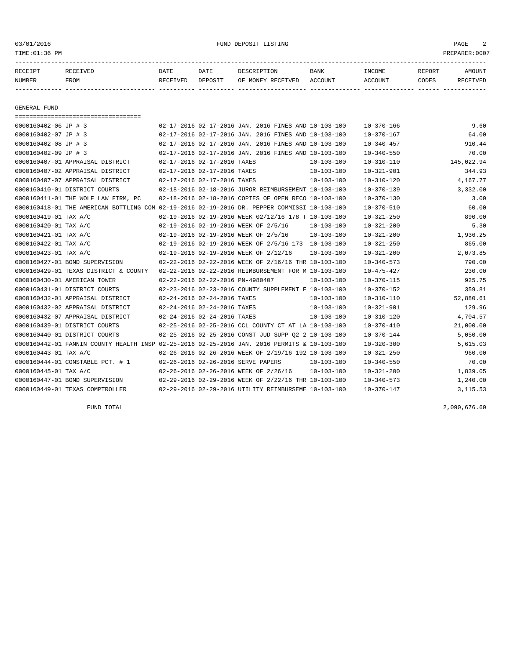03/01/2016 FUND DEPOSIT LISTING PAGE 2

| RECEIPT       | <b>RECEIVED</b> | DATE     | DATE    | <b>DESCRIPTION</b> | <b>BANK</b> | <b>INCOME</b>  | <b>REPORT</b> | AMOUNT  |
|---------------|-----------------|----------|---------|--------------------|-------------|----------------|---------------|---------|
| <b>NUMBER</b> | <b>FROM</b>     | RECEIVED | DEPOSIT | OF MONEY RECEIVED  | ACCOUNT     | <b>ACCOUNT</b> | CODES         | "E TVED |
|               |                 |          |         |                    |             |                |               |         |

GENERAL FUND

=================================== 0000160402-06 JP # 3 02-17-2016 02-17-2016 JAN. 2016 FINES AND 10-103-100 10-370-166 9.60 0000160402-07 JP # 3 02-17-2016 02-17-2016 JAN. 2016 FINES AND 10-103-100 10-370-167 64.00 0000160402-08 JP # 3 02-17-2016 02-17-2016 JAN. 2016 FINES AND 10-103-100 10-340-457 910.44 0000160402-09 JP # 3 02-17-2016 02-17-2016 JAN. 2016 FINES AND 10-103-100 10-340-550 70.00 0000160407-01 APPRAISAL DISTRICT 02-17-2016 02-17-2016 TAXES 10-103-100 10-310-110 145,022.94 0000160407-02 APPRAISAL DISTRICT 02-17-2016 02-17-2016 TAXES 10-103-100 10-321-901 344.93 0000160407-07 APPRAISAL DISTRICT 02-17-2016 02-17-2016 TAXES 10-103-100 10-310-120 4,167.77 0000160410-01 DISTRICT COURTS 02-18-2016 02-18-2016 JUROR REIMBURSEMENT 10-103-100 10-370-139 3,332.00 0000160411-01 THE WOLF LAW FIRM, PC 02-18-2016 02-18-2016 COPIES OF OPEN RECO 10-103-100 10-370-130 3.00 0000160418-01 THE AMERICAN BOTTLING COM 02-19-2016 02-19-2016 DR. PEPPER COMMISSI 10-103-100 10-370-510 60.00 0000160419-01 TAX A/C 02-19-2016 02-19-2016 WEEK 02/12/16 178 T 10-103-100 10-321-250 890.00 0000160420-01 TAX A/C 02-19-2016 02-19-2016 WEEK OF 2/5/16 10-103-100 10-321-200 5.30 0000160421-01 TAX A/C 02-19-2016 02-19-2016 WEEK OF 2/5/16 10-103-100 10-321-200 1,936.25 0000160422-01 TAX A/C 02-19-2016 02-19-2016 WEEK OF 2/5/16 173 10-103-100 10-321-250 865.00 0000160423-01 TAX A/C 02-19-2016 02-19-2016 WEEK OF 2/12/16 10-103-100 10-321-200 2,073.85 0000160427-01 BOND SUPERVISION 02-22-2016 02-22-2016 WEEK OF 2/16/16 THR 10-103-100 10-340-573 790.00 0000160429-01 TEXAS DISTRICT & COUNTY 02-22-2016 02-22-2016 REIMBURSEMENT FOR M 10-103-100 10-475-427 230.00 0000160430-01 AMERICAN TOWER 02-22-2016 02-22-2016 PN-4980407 10-103-100 10-370-115 925.75 0000160431-01 DISTRICT COURTS 02-23-2016 02-23-2016 COUNTY SUPPLEMENT F 10-103-100 10-370-152 359.81 0000160432-01 APPRAISAL DISTRICT 02-24-2016 02-24-2016 TAXES 10-103-100 10-310-110 52,880.61 0000160432-02 APPRAISAL DISTRICT 02-24-2016 02-24-2016 TAXES 10-103-100 10-321-901 129.96 0000160432-07 APPRAISAL DISTRICT 02-24-2016 02-24-2016 TAXES 10-103-100 10-310-120 4,704.57 0000160439-01 DISTRICT COURTS 02-25-2016 02-25-2016 CCL COUNTY CT AT LA 10-103-100 10-370-410 21,000.00 0000160440-01 DISTRICT COURTS 02-25-2016 02-25-2016 CONST JUD SUPP Q2 2 10-103-100 10-370-144 5,050.00 0000160442-01 FANNIN COUNTY HEALTH INSP 02-25-2016 02-25-2016 JAN. 2016 PERMITS & 10-103-100 10-320-300 5,615.03 0000160443-01 TAX A/C 02-26-2016 02-26-2016 WEEK OF 2/19/16 192 10-103-100 10-321-250 960.00 0000160444-01 CONSTABLE PCT. # 1 02-26-2016 02-26-2016 SERVE PAPERS 10-103-100 10-340-550 70.00 0000160445-01 TAX A/C 02-26-2016 02-26-2016 WEEK OF 2/26/16 10-103-100 10-321-200 1,839.05 0000160447-01 BOND SUPERVISION 02-29-2016 02-29-2016 WEEK OF 2/22/16 THR 10-103-100 10-340-573 1,240.00 0000160449-01 TEXAS COMPTROLLER 02-29-2016 02-29-2016 UTILITY REIMBURSEME 10-103-100 10-370-147 3,115.53

FUND TOTAL 2,090,676.60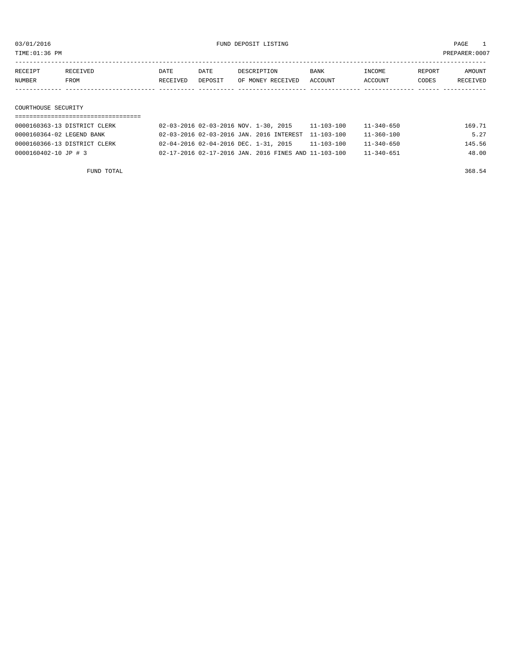TIME:01:36 PM PREPARER:0007

| RECEIPT | RECEIVED | DATE     | DATE    | DESCRIPTION       | <b>BANK</b> | INCOME  | REPORT | AMOUNT   |
|---------|----------|----------|---------|-------------------|-------------|---------|--------|----------|
| NUMBER  | FROM     | RECEIVED | DEPOSIT | OF MONEY RECEIVED | ACCOUNT     | ACCOUNT | CODES  | RECEIVED |
|         |          |          |         |                   |             |         |        |          |
|         |          |          |         |                   |             |         |        |          |

#### COURTHOUSE SECURITY

| 0000160363-13 DISTRICT CLERK | 02-03-2016 02-03-2016 NOV. 1-30, 2015                | $11 - 103 - 100$ | 11-340-650       | 169.71 |
|------------------------------|------------------------------------------------------|------------------|------------------|--------|
| 0000160364-02 LEGEND BANK    | 02-03-2016 02-03-2016 JAN. 2016 INTEREST 11-103-100  |                  | 11-360-100       | 5.27   |
| 0000160366-13 DISTRICT CLERK | 02-04-2016 02-04-2016 DEC. 1-31, 2015                | $11 - 103 - 100$ | 11-340-650       | 145.56 |
| 0000160402-10 JP # 3         | 02-17-2016 02-17-2016 JAN. 2016 FINES AND 11-103-100 |                  | $11 - 340 - 651$ | 48.00  |

FUND TOTAL 368.54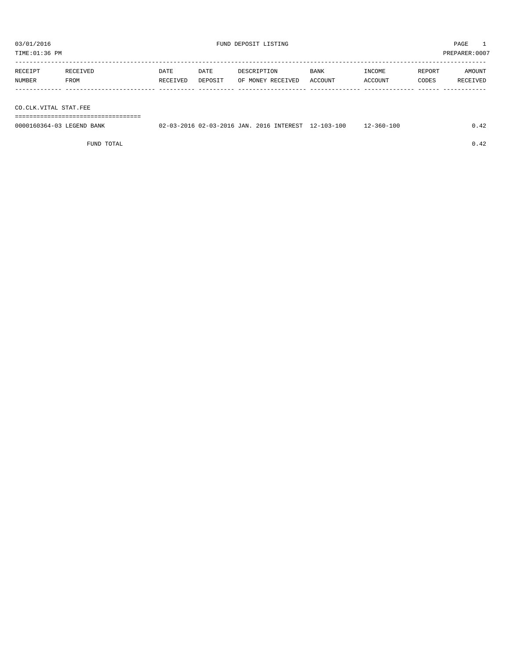TIME:01:36 PM PREPARER:0007

| RECEIPT | RECEIVED | DATE     | DATE    | DESCRIPTION       | BANK    | INCOME  | REPORT | AMOUNT   |
|---------|----------|----------|---------|-------------------|---------|---------|--------|----------|
| NUMBER  | FROM     | RECEIVED | DEPOSIT | OF MONEY RECEIVED | ACCOUNT | ACCOUNT | CODES  | RECEIVED |
|         |          |          |         |                   |         |         |        |          |
|         |          |          |         |                   |         |         |        |          |

CO.CLK.VITAL STAT.FEE

===================================

| 0000160364-03 LEGEND BANK | 02-03-2016 02-03-2016 JAN. 2016 INTEREST 12-103-100 |  | $12 - 360 - 100$ |  |
|---------------------------|-----------------------------------------------------|--|------------------|--|
|                           |                                                     |  |                  |  |

FUND TOTAL  $0.42$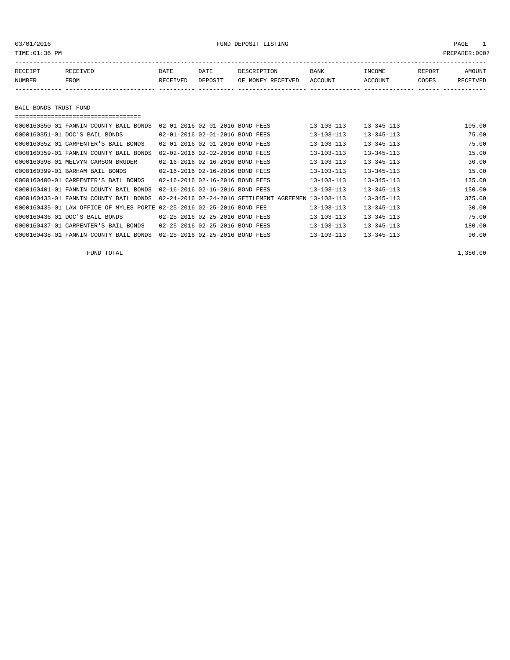TIME:01:36 PM PREPARER:0007

| RECEIPT | RECEIVED | DATE     | DATE    | DESCRIPTION       | <b>BANK</b> | <b>INCOME</b> | REPORT | AMOUNT          |
|---------|----------|----------|---------|-------------------|-------------|---------------|--------|-----------------|
| NUMBER  | FROM     | RECEIVED | DEPOSIT | OF MONEY RECEIVED | ACCOUNT     | ACCOUNT       | CODES  | <b>RECEIVED</b> |
|         |          |          |         |                   |             |               |        |                 |

BAIL BONDS TRUST FUND

| -------------------------------------                                  |                                 |                                 |                                                      |                  |                  |        |
|------------------------------------------------------------------------|---------------------------------|---------------------------------|------------------------------------------------------|------------------|------------------|--------|
| 0000160350-01 FANNIN COUNTY BAIL BONDS                                 | 02-01-2016 02-01-2016 BOND FEES |                                 |                                                      | $13 - 103 - 113$ | $13 - 345 - 113$ | 105.00 |
| 0000160351-01 DOC'S BAIL BONDS                                         |                                 | 02-01-2016 02-01-2016 BOND FEES |                                                      | $13 - 103 - 113$ | $13 - 345 - 113$ | 75.00  |
| 0000160352-01 CARPENTER'S BAIL BONDS                                   | 02-01-2016 02-01-2016 BOND FEES |                                 |                                                      | 13-103-113       | $13 - 345 - 113$ | 75.00  |
| 0000160359-01 FANNIN COUNTY BAIL BONDS                                 | 02-02-2016 02-02-2016 BOND FEES |                                 |                                                      | 13-103-113       | $13 - 345 - 113$ | 15.00  |
| 0000160398-01 MELVYN CARSON BRUDER                                     |                                 | 02-16-2016 02-16-2016 BOND FEES |                                                      | $13 - 103 - 113$ | $13 - 345 - 113$ | 30.00  |
| 0000160399-01 BARHAM BAIL BONDS                                        |                                 | 02-16-2016 02-16-2016 BOND FEES |                                                      | $13 - 103 - 113$ | $13 - 345 - 113$ | 15.00  |
| 0000160400-01 CARPENTER'S BAIL BONDS                                   | 02-16-2016 02-16-2016 BOND FEES |                                 |                                                      | $13 - 103 - 113$ | $13 - 345 - 113$ | 135.00 |
| 0000160401-01 FANNIN COUNTY BAIL BONDS                                 | 02-16-2016 02-16-2016 BOND FEES |                                 |                                                      | $13 - 103 - 113$ | $13 - 345 - 113$ | 150.00 |
| 0000160433-01 FANNIN COUNTY BAIL BONDS                                 |                                 |                                 | 02-24-2016 02-24-2016 SETTLEMENT AGREEMEN 13-103-113 |                  | $13 - 345 - 113$ | 375.00 |
| 0000160435-01 LAW OFFICE OF MYLES PORTE 02-25-2016 02-25-2016 BOND FEE |                                 |                                 |                                                      | $13 - 103 - 113$ | $13 - 345 - 113$ | 30.00  |
| 0000160436-01 DOC'S BAIL BONDS                                         |                                 | 02-25-2016 02-25-2016 BOND FEES |                                                      | $13 - 103 - 113$ | $13 - 345 - 113$ | 75.00  |
| 0000160437-01 CARPENTER'S BAIL BONDS                                   | 02-25-2016 02-25-2016 BOND FEES |                                 |                                                      | $13 - 103 - 113$ | $13 - 345 - 113$ | 180.00 |
| 0000160438-01 FANNIN COUNTY BAIL BONDS                                 | 02-25-2016 02-25-2016 BOND FEES |                                 |                                                      | $13 - 103 - 113$ | $13 - 345 - 113$ | 90.00  |

FUND TOTAL 1,350.00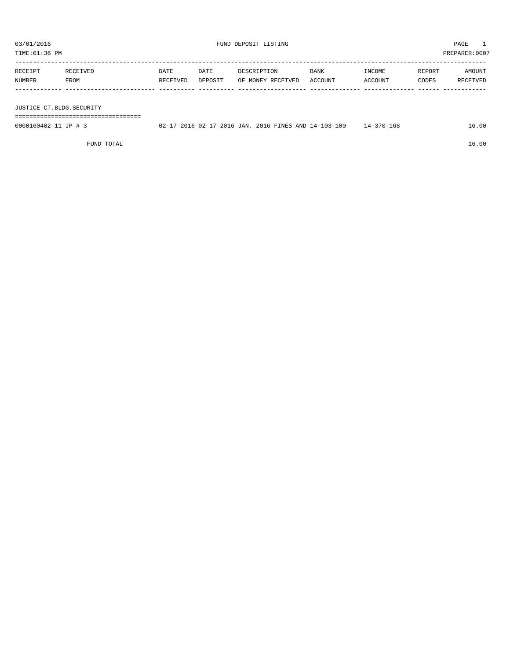| TIME:01:36 PM                                    |                                      |                  |                 |                                                      |                 |                   |                 | PREPARER: 0007     |
|--------------------------------------------------|--------------------------------------|------------------|-----------------|------------------------------------------------------|-----------------|-------------------|-----------------|--------------------|
| RECEIPT<br>NUMBER                                | RECEIVED<br>FROM                     | DATE<br>RECEIVED | DATE<br>DEPOSIT | DESCRIPTION<br>OF MONEY RECEIVED                     | BANK<br>ACCOUNT | INCOME<br>ACCOUNT | REPORT<br>CODES | AMOUNT<br>RECEIVED |
| JUSTICE CT.BLDG.SECURITY<br>0000160402-11 JP # 3 | ------------------------------------ |                  |                 | 02-17-2016 02-17-2016 JAN. 2016 FINES AND 14-103-100 |                 | 14-370-168        |                 | 16.00              |
|                                                  | FUND TOTAL                           |                  |                 |                                                      |                 |                   |                 | 16.00              |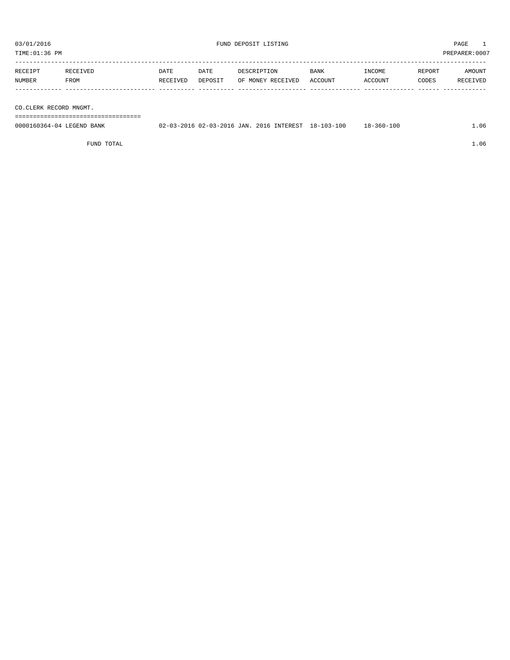TIME:01:36 PM PREPARER:0007 ----------------------------------------------------------------------------------------------------------------------------------- RECEIPT RECEIVED DATE DATE DESCRIPTION BANK INCOME REPORT AMOUNT NUMBER FROM RECEIVED DEPOSIT OF MONEY RECEIVED ACCOUNT ACCOUNT CODES RECEIVED ------------- ------------------------- ---------- ---------- ------------------- -------------- -------------- ------ ------------ CO.CLERK RECORD MNGMT.

===================================

| 0000160364-04 LEGEND BANK | 02-03-2016 02-03-2016 JAN. 2016 INTEREST 18-103-100 |  | $18 - 360 - 100$ | 1.06 |
|---------------------------|-----------------------------------------------------|--|------------------|------|
|                           |                                                     |  |                  |      |

FUND TOTAL  $1.06$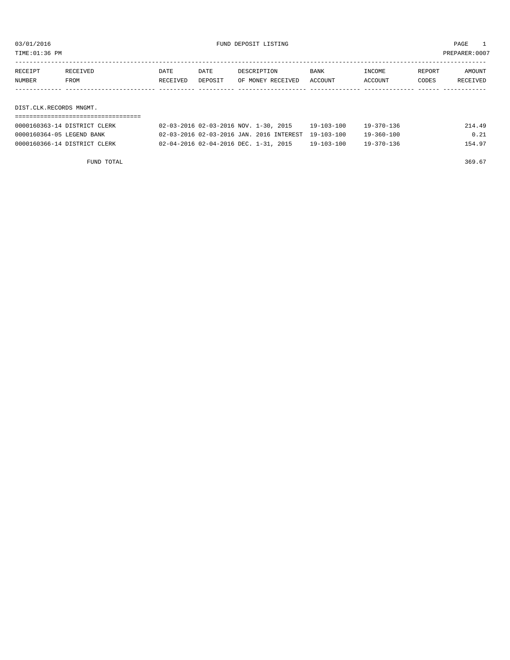| TIME:01:36 PM | :0007<br>PREPARER: |
|---------------|--------------------|
|               |                    |

| RECEIPT                   | <b>RECEIVED</b>              | DATE     | DATE    | DESCRIPTION                              | <b>BANK</b>      | INCOME           | REPORT | AMOUNT   |
|---------------------------|------------------------------|----------|---------|------------------------------------------|------------------|------------------|--------|----------|
| NUMBER                    | FROM                         | RECEIVED | DEPOSIT | OF MONEY RECEIVED                        | <b>ACCOUNT</b>   | ACCOUNT          | CODES  | RECEIVED |
|                           |                              |          |         |                                          |                  |                  |        |          |
|                           |                              |          |         |                                          |                  |                  |        |          |
| DIST.CLK.RECORDS MNGMT.   |                              |          |         |                                          |                  |                  |        |          |
|                           |                              |          |         |                                          |                  |                  |        |          |
|                           | 0000160363-14 DISTRICT CLERK |          |         | 02-03-2016 02-03-2016 NOV. 1-30, 2015    | 19-103-100       | 19-370-136       |        | 214.49   |
| 0000160364-05 LEGEND BANK |                              |          |         | 02-03-2016 02-03-2016 JAN. 2016 INTEREST | $19 - 103 - 100$ | $19 - 360 - 100$ |        | 0.21     |

0000160366-14 DISTRICT CLERK 02-04-2016 02-04-2016 DEC. 1-31, 2015 19-103-100 19-370-136 154.97

FUND TOTAL 369.67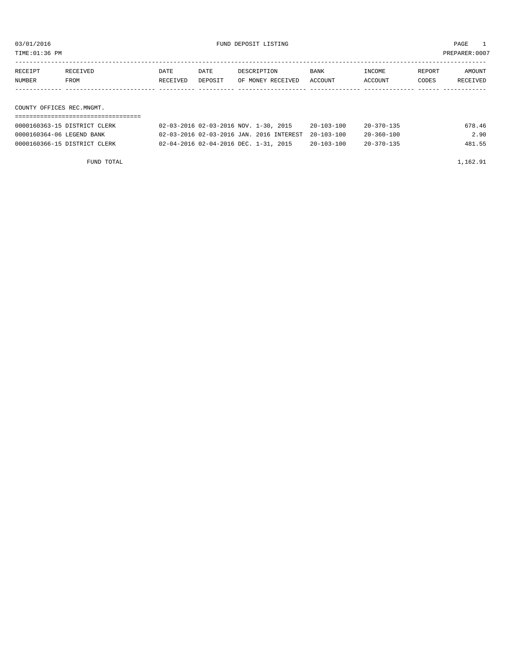TIME:01:36 PM PREPARER:0007

| RECEIPT<br>NUMBER         | RECEIVED<br>FROM | DATE<br>RECEIVED | DATE<br>DEPOSIT | DESCRIPTION<br>OF MONEY RECEIVED | BANK<br>ACCOUNT | INCOME<br>ACCOUNT     | REPORT<br>CODES | AMOUNT<br>RECEIVED |  |  |
|---------------------------|------------------|------------------|-----------------|----------------------------------|-----------------|-----------------------|-----------------|--------------------|--|--|
|                           |                  |                  |                 |                                  |                 |                       |                 |                    |  |  |
|                           |                  |                  |                 |                                  |                 |                       |                 |                    |  |  |
| COUNTY OFFICES REC.MNGMT. |                  |                  |                 |                                  |                 |                       |                 |                    |  |  |
|                           |                  |                  |                 |                                  |                 |                       |                 |                    |  |  |
|                           |                  |                  |                 |                                  | .               | $0.0$ $0.000$ $0.000$ |                 | $  -$              |  |  |

| 0000160363-15 DISTRICT CLERK | 02-03-2016 02-03-2016 NOV. 1-30, 2015               | $20 - 103 - 100$ | 20-370-135       | 678.46 |
|------------------------------|-----------------------------------------------------|------------------|------------------|--------|
| 0000160364-06 LEGEND BANK    | 02-03-2016 02-03-2016 JAN. 2016 INTEREST 20-103-100 |                  | $20 - 360 - 100$ | 2.90   |
| 0000160366-15 DISTRICT CLERK | 02-04-2016 02-04-2016 DEC. 1-31, 2015               | $20 - 103 - 100$ | $20 - 370 - 135$ | 481.55 |
|                              |                                                     |                  |                  |        |

FUND TOTAL 1,162.91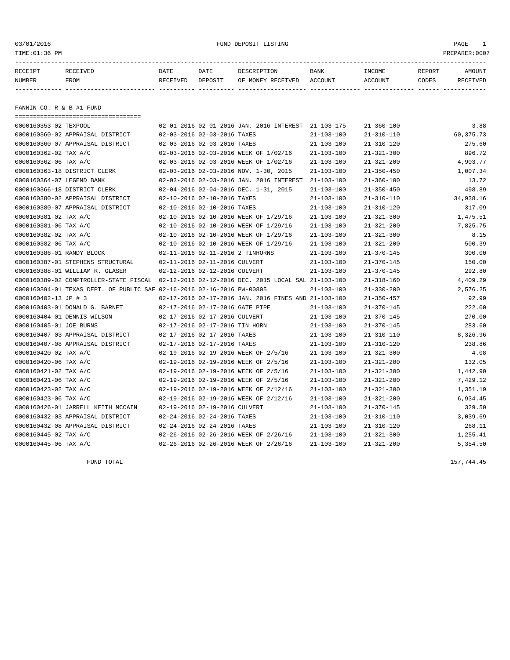#### 03/01/2016 FUND DEPOSIT LISTING PAGE 1

| RECEIPT | <b>RECEIVED</b> | DATE            | DATE    | DESCRIPTION       | <b>BANK</b> | <b>INCOME</b> | REPORT | AMOUNT          |
|---------|-----------------|-----------------|---------|-------------------|-------------|---------------|--------|-----------------|
| NUMBER  | FROM            | <b>RECEIVED</b> | DEPOSIT | OF MONEY RECEIVED | ACCOUNT     | ACCOUNT       | CODES  | <b>RECEIVED</b> |
|         |                 |                 |         |                   |             |               |        |                 |

FANNIN CO. R & B #1 FUND

| =====================================                                  |                                                                                             |                  |                  |           |
|------------------------------------------------------------------------|---------------------------------------------------------------------------------------------|------------------|------------------|-----------|
| 0000160353-02 TEXPOOL                                                  | 02-01-2016 02-01-2016 JAN. 2016 INTEREST 21-103-175                                         |                  | $21 - 360 - 100$ | 3.88      |
| 0000160360-02 APPRAISAL DISTRICT                                       | 02-03-2016 02-03-2016 TAXES                                                                 | $21 - 103 - 100$ | $21 - 310 - 110$ | 60,375.73 |
| 0000160360-07 APPRAISAL DISTRICT                                       | 02-03-2016 02-03-2016 TAXES                                                                 | $21 - 103 - 100$ | $21 - 310 - 120$ | 275.60    |
| 0000160362-02 TAX A/C                                                  | 02-03-2016 02-03-2016 WEEK OF 1/02/16                                                       | $21 - 103 - 100$ | $21 - 321 - 300$ | 896.72    |
| 0000160362-06 TAX A/C                                                  | 02-03-2016 02-03-2016 WEEK OF 1/02/16                                                       | $21 - 103 - 100$ | $21 - 321 - 200$ | 4,903.77  |
| 0000160363-18 DISTRICT CLERK                                           | 02-03-2016 02-03-2016 NOV. 1-30, 2015                                                       | $21 - 103 - 100$ | $21 - 350 - 450$ | 1,007.34  |
| 0000160364-07 LEGEND BANK                                              | 02-03-2016 02-03-2016 JAN. 2016 INTEREST 21-103-100                                         |                  | $21 - 360 - 100$ | 13.72     |
| 0000160366-18 DISTRICT CLERK                                           | 02-04-2016 02-04-2016 DEC. 1-31, 2015                                                       | 21-103-100       | $21 - 350 - 450$ | 498.89    |
| 0000160380-02 APPRAISAL DISTRICT                                       | 02-10-2016 02-10-2016 TAXES                                                                 | $21 - 103 - 100$ | $21 - 310 - 110$ | 34,938.16 |
| 0000160380-07 APPRAISAL DISTRICT                                       | 02-10-2016 02-10-2016 TAXES                                                                 | $21 - 103 - 100$ | $21 - 310 - 120$ | 317.09    |
| 0000160381-02 TAX A/C                                                  | 02-10-2016 02-10-2016 WEEK OF 1/29/16                                                       | $21 - 103 - 100$ | $21 - 321 - 300$ | 1,475.51  |
| 0000160381-06 TAX A/C                                                  | 02-10-2016 02-10-2016 WEEK OF 1/29/16                                                       | $21 - 103 - 100$ | $21 - 321 - 200$ | 7,825.75  |
| 0000160382-02 TAX A/C                                                  | 02-10-2016 02-10-2016 WEEK OF 1/29/16                                                       | $21 - 103 - 100$ | $21 - 321 - 300$ | 8.15      |
| 0000160382-06 TAX A/C                                                  | 02-10-2016 02-10-2016 WEEK OF 1/29/16                                                       | $21 - 103 - 100$ | $21 - 321 - 200$ | 500.39    |
| 0000160386-01 RANDY BLOCK                                              | 02-11-2016 02-11-2016 2 TINHORNS                                                            | $21 - 103 - 100$ | $21 - 370 - 145$ | 300.00    |
| 0000160387-01 STEPHENS STRUCTURAL                                      | 02-11-2016 02-11-2016 CULVERT                                                               | $21 - 103 - 100$ | $21 - 370 - 145$ | 150.00    |
| 0000160388-01 WILLIAM R. GLASER                                        | 02-12-2016 02-12-2016 CULVERT                                                               | $21 - 103 - 100$ | $21 - 370 - 145$ | 292.80    |
|                                                                        | 0000160389-02 COMPTROLLER-STATE FISCAL 02-12-2016 02-12-2016 DEC. 2015 LOCAL SAL 21-103-100 |                  | $21 - 318 - 160$ | 4,409.29  |
| 0000160394-01 TEXAS DEPT. OF PUBLIC SAF 02-16-2016 02-16-2016 PW-00805 |                                                                                             | $21 - 103 - 100$ | $21 - 330 - 200$ | 2,576.25  |
| 0000160402-13 JP # 3                                                   | 02-17-2016 02-17-2016 JAN. 2016 FINES AND 21-103-100                                        |                  | $21 - 350 - 457$ | 92.99     |
| 0000160403-01 DONALD G. BARNET                                         | 02-17-2016 02-17-2016 GATE PIPE                                                             | $21 - 103 - 100$ | $21 - 370 - 145$ | 222.00    |
| 0000160404-01 DENNIS WILSON                                            | 02-17-2016 02-17-2016 CULVERT                                                               | $21 - 103 - 100$ | $21 - 370 - 145$ | 270.00    |
| 0000160405-01 JOE BURNS                                                | 02-17-2016 02-17-2016 TIN HORN                                                              | $21 - 103 - 100$ | $21 - 370 - 145$ | 283.60    |
| 0000160407-03 APPRAISAL DISTRICT                                       | 02-17-2016 02-17-2016 TAXES                                                                 | $21 - 103 - 100$ | $21 - 310 - 110$ | 8,326.96  |
| 0000160407-08 APPRAISAL DISTRICT                                       | 02-17-2016 02-17-2016 TAXES                                                                 | $21 - 103 - 100$ | $21 - 310 - 120$ | 238.86    |
| 0000160420-02 TAX A/C                                                  | 02-19-2016 02-19-2016 WEEK OF 2/5/16                                                        | $21 - 103 - 100$ | $21 - 321 - 300$ | 4.08      |
| 0000160420-06 TAX A/C                                                  | 02-19-2016 02-19-2016 WEEK OF 2/5/16                                                        | $21 - 103 - 100$ | $21 - 321 - 200$ | 132.05    |
| 0000160421-02 TAX A/C                                                  | 02-19-2016 02-19-2016 WEEK OF 2/5/16                                                        | $21 - 103 - 100$ | $21 - 321 - 300$ | 1,442.90  |
| 0000160421-06 TAX A/C                                                  | 02-19-2016 02-19-2016 WEEK OF 2/5/16                                                        | 21-103-100       | $21 - 321 - 200$ | 7,429.12  |
| 0000160423-02 TAX A/C                                                  | 02-19-2016 02-19-2016 WEEK OF 2/12/16                                                       | $21 - 103 - 100$ | $21 - 321 - 300$ | 1,351.19  |
| 0000160423-06 TAX A/C                                                  | 02-19-2016 02-19-2016 WEEK OF 2/12/16                                                       | $21 - 103 - 100$ | $21 - 321 - 200$ | 6,934.45  |
| 0000160426-01 JARRELL KEITH MCCAIN                                     | 02-19-2016 02-19-2016 CULVERT                                                               | $21 - 103 - 100$ | $21 - 370 - 145$ | 329.50    |
| 0000160432-03 APPRAISAL DISTRICT                                       | 02-24-2016 02-24-2016 TAXES                                                                 | $21 - 103 - 100$ | $21 - 310 - 110$ | 3,039.69  |
| 0000160432-08 APPRAISAL DISTRICT                                       | 02-24-2016 02-24-2016 TAXES                                                                 | $21 - 103 - 100$ | $21 - 310 - 120$ | 268.11    |
| 0000160445-02 TAX A/C                                                  | 02-26-2016 02-26-2016 WEEK OF 2/26/16                                                       | $21 - 103 - 100$ | $21 - 321 - 300$ | 1,255.41  |
| 0000160445-06 TAX A/C                                                  | 02-26-2016 02-26-2016 WEEK OF 2/26/16                                                       | $21 - 103 - 100$ | $21 - 321 - 200$ | 5,354.50  |

FUND TOTAL 157,744.45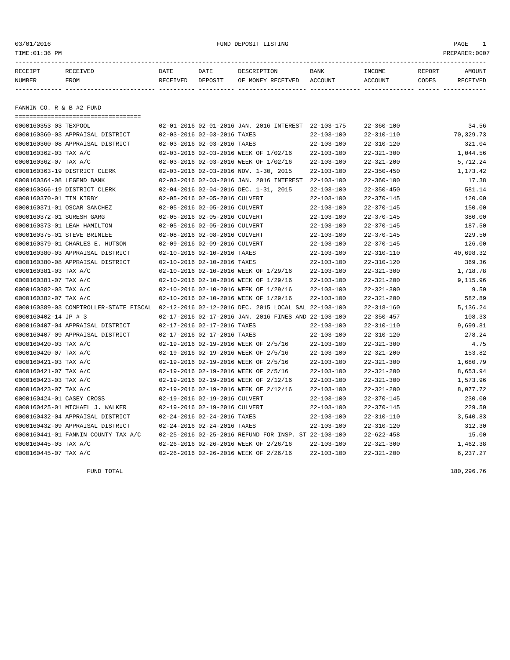#### 03/01/2016 FUND DEPOSIT LISTING PAGE 1

| RECEIPT | <b>RECEIVED</b> | DATE     | DATE    | DESCRIPTION          | <b>BANK</b>    | INCOME  | <b>REPORT</b> | AMOUNT          |
|---------|-----------------|----------|---------|----------------------|----------------|---------|---------------|-----------------|
| NUMBER  | FROM            | RECEIVED | DEPOSIT | RECEIVED<br>OF MONEY | <b>ACCOUNT</b> | ACCOUNT | CODES         | <b>RECEIVED</b> |
|         |                 |          |         |                      |                |         |               |                 |

FANNIN CO. R & B #2 FUND

| ====================================                                                        |                                       |                                                      |                  |                  |           |
|---------------------------------------------------------------------------------------------|---------------------------------------|------------------------------------------------------|------------------|------------------|-----------|
| 0000160353-03 TEXPOOL                                                                       |                                       | 02-01-2016 02-01-2016 JAN. 2016 INTEREST 22-103-175  |                  | $22 - 360 - 100$ | 34.56     |
| 0000160360-03 APPRAISAL DISTRICT                                                            | 02-03-2016 02-03-2016 TAXES           |                                                      | $22 - 103 - 100$ | $22 - 310 - 110$ | 70,329.73 |
| 0000160360-08 APPRAISAL DISTRICT                                                            | 02-03-2016 02-03-2016 TAXES           |                                                      | $22 - 103 - 100$ | $22 - 310 - 120$ | 321.04    |
| 0000160362-03 TAX A/C                                                                       | 02-03-2016 02-03-2016 WEEK OF 1/02/16 |                                                      | $22 - 103 - 100$ | $22 - 321 - 300$ | 1,044.56  |
| 0000160362-07 TAX A/C                                                                       | 02-03-2016 02-03-2016 WEEK OF 1/02/16 |                                                      | $22 - 103 - 100$ | $22 - 321 - 200$ | 5,712.24  |
| 0000160363-19 DISTRICT CLERK                                                                | 02-03-2016 02-03-2016 NOV. 1-30, 2015 |                                                      | $22 - 103 - 100$ | $22 - 350 - 450$ | 1,173.42  |
| 0000160364-08 LEGEND BANK                                                                   |                                       | 02-03-2016 02-03-2016 JAN. 2016 INTEREST             | 22-103-100       | $22 - 360 - 100$ | 17.38     |
| 0000160366-19 DISTRICT CLERK                                                                | 02-04-2016 02-04-2016 DEC. 1-31, 2015 |                                                      | $22 - 103 - 100$ | $22 - 350 - 450$ | 581.14    |
| 0000160370-01 TIM KIRBY                                                                     | 02-05-2016 02-05-2016 CULVERT         |                                                      | $22 - 103 - 100$ | $22 - 370 - 145$ | 120.00    |
| 0000160371-01 OSCAR SANCHEZ                                                                 | 02-05-2016 02-05-2016 CULVERT         |                                                      | $22 - 103 - 100$ | $22 - 370 - 145$ | 150.00    |
| 0000160372-01 SURESH GARG                                                                   | 02-05-2016 02-05-2016 CULVERT         |                                                      | $22 - 103 - 100$ | $22 - 370 - 145$ | 380.00    |
| 0000160373-01 LEAH HAMILTON                                                                 | 02-05-2016 02-05-2016 CULVERT         |                                                      | $22 - 103 - 100$ | $22 - 370 - 145$ | 187.50    |
| 0000160375-01 STEVE BRINLEE                                                                 | 02-08-2016 02-08-2016 CULVERT         |                                                      | $22 - 103 - 100$ | $22 - 370 - 145$ | 229.50    |
| 0000160379-01 CHARLES E. HUTSON                                                             | 02-09-2016 02-09-2016 CULVERT         |                                                      | $22 - 103 - 100$ | $22 - 370 - 145$ | 126.00    |
| 0000160380-03 APPRAISAL DISTRICT                                                            | 02-10-2016 02-10-2016 TAXES           |                                                      | $22 - 103 - 100$ | $22 - 310 - 110$ | 40,698.32 |
| 0000160380-08 APPRAISAL DISTRICT                                                            | 02-10-2016 02-10-2016 TAXES           |                                                      | $22 - 103 - 100$ | $22 - 310 - 120$ | 369.36    |
| 0000160381-03 TAX A/C                                                                       | 02-10-2016 02-10-2016 WEEK OF 1/29/16 |                                                      | $22 - 103 - 100$ | $22 - 321 - 300$ | 1,718.78  |
| 0000160381-07 TAX A/C                                                                       | 02-10-2016 02-10-2016 WEEK OF 1/29/16 |                                                      | $22 - 103 - 100$ | $22 - 321 - 200$ | 9,115.96  |
| 0000160382-03 TAX A/C                                                                       | 02-10-2016 02-10-2016 WEEK OF 1/29/16 |                                                      | $22 - 103 - 100$ | $22 - 321 - 300$ | 9.50      |
| 0000160382-07 TAX A/C                                                                       | 02-10-2016 02-10-2016 WEEK OF 1/29/16 |                                                      | $22 - 103 - 100$ | $22 - 321 - 200$ | 582.89    |
| 0000160389-03 COMPTROLLER-STATE FISCAL 02-12-2016 02-12-2016 DEC. 2015 LOCAL SAL 22-103-100 |                                       |                                                      |                  | $22 - 318 - 160$ | 5,136.24  |
| 0000160402-14 JP # 3                                                                        |                                       | 02-17-2016 02-17-2016 JAN. 2016 FINES AND 22-103-100 |                  | $22 - 350 - 457$ | 108.33    |
| 0000160407-04 APPRAISAL DISTRICT                                                            | 02-17-2016 02-17-2016 TAXES           |                                                      | $22 - 103 - 100$ | $22 - 310 - 110$ | 9,699.81  |
| 0000160407-09 APPRAISAL DISTRICT                                                            | 02-17-2016 02-17-2016 TAXES           |                                                      | $22 - 103 - 100$ | $22 - 310 - 120$ | 278.24    |
| 0000160420-03 TAX A/C                                                                       | 02-19-2016 02-19-2016 WEEK OF 2/5/16  |                                                      | $22 - 103 - 100$ | $22 - 321 - 300$ | 4.75      |
| 0000160420-07 TAX A/C                                                                       | 02-19-2016 02-19-2016 WEEK OF 2/5/16  |                                                      | $22 - 103 - 100$ | $22 - 321 - 200$ | 153.82    |
| 0000160421-03 TAX A/C                                                                       | 02-19-2016 02-19-2016 WEEK OF 2/5/16  |                                                      | $22 - 103 - 100$ | $22 - 321 - 300$ | 1,680.79  |
| 0000160421-07 TAX A/C                                                                       | 02-19-2016 02-19-2016 WEEK OF 2/5/16  |                                                      | $22 - 103 - 100$ | $22 - 321 - 200$ | 8,653.94  |
| 0000160423-03 TAX A/C                                                                       | 02-19-2016 02-19-2016 WEEK OF 2/12/16 |                                                      | $22 - 103 - 100$ | $22 - 321 - 300$ | 1,573.96  |
| 0000160423-07 TAX A/C                                                                       | 02-19-2016 02-19-2016 WEEK OF 2/12/16 |                                                      | $22 - 103 - 100$ | $22 - 321 - 200$ | 8,077.72  |
| 0000160424-01 CASEY CROSS                                                                   | 02-19-2016 02-19-2016 CULVERT         |                                                      | $22 - 103 - 100$ | $22 - 370 - 145$ | 230.00    |
| 0000160425-01 MICHAEL J. WALKER                                                             | 02-19-2016 02-19-2016 CULVERT         |                                                      | $22 - 103 - 100$ | $22 - 370 - 145$ | 229.50    |
| 0000160432-04 APPRAISAL DISTRICT                                                            | 02-24-2016 02-24-2016 TAXES           |                                                      | $22 - 103 - 100$ | $22 - 310 - 110$ | 3,540.83  |
| 0000160432-09 APPRAISAL DISTRICT                                                            | 02-24-2016 02-24-2016 TAXES           |                                                      | $22 - 103 - 100$ | 22-310-120       | 312.30    |
| 0000160441-01 FANNIN COUNTY TAX A/C                                                         |                                       | 02-25-2016 02-25-2016 REFUND FOR INSP. ST 22-103-100 |                  | $22 - 622 - 458$ | 15.00     |
| 0000160445-03 TAX A/C                                                                       | 02-26-2016 02-26-2016 WEEK OF 2/26/16 |                                                      | $22 - 103 - 100$ | $22 - 321 - 300$ | 1,462.38  |
| 0000160445-07 TAX A/C                                                                       | 02-26-2016 02-26-2016 WEEK OF 2/26/16 |                                                      | $22 - 103 - 100$ | $22 - 321 - 200$ | 6,237.27  |

FUND TOTAL 180,296.76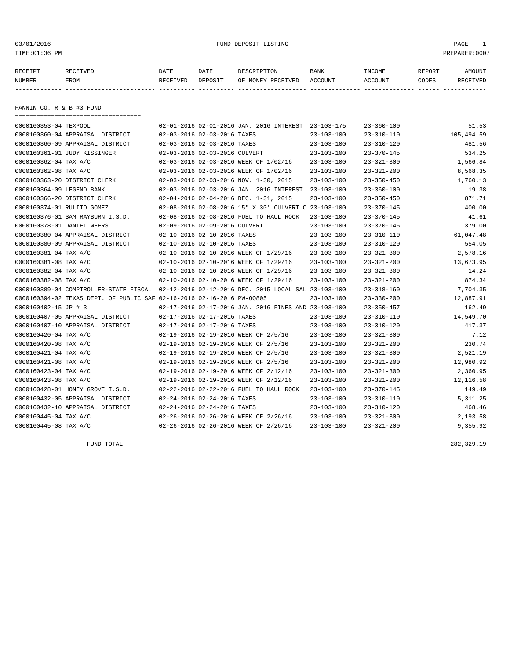#### 03/01/2016 FUND DEPOSIT LISTING PAGE 1

| RECEIPT | RECEIVED | DATE     | DATE    | DESCRIPTION       | <b>BANK</b> | INCOME  | REPORT | AMOUNT   |
|---------|----------|----------|---------|-------------------|-------------|---------|--------|----------|
| NUMBER  | FROM     | RECEIVED | DEPOSIT | OF MONEY RECEIVED | ACCOUNT     | ACCOUNT | CODES  | RECEIVED |
|         |          |          |         |                   |             |         |        |          |

FANNIN CO. R & B #3 FUND

| ======================================                                                      |                               |                                                      |                  |                  |            |
|---------------------------------------------------------------------------------------------|-------------------------------|------------------------------------------------------|------------------|------------------|------------|
| 0000160353-04 TEXPOOL                                                                       |                               | 02-01-2016 02-01-2016 JAN. 2016 INTEREST 23-103-175  |                  | $23 - 360 - 100$ | 51.53      |
| 0000160360-04 APPRAISAL DISTRICT                                                            | 02-03-2016 02-03-2016 TAXES   |                                                      | $23 - 103 - 100$ | $23 - 310 - 110$ | 105,494.59 |
| 0000160360-09 APPRAISAL DISTRICT                                                            | 02-03-2016 02-03-2016 TAXES   |                                                      | $23 - 103 - 100$ | $23 - 310 - 120$ | 481.56     |
| 0000160361-01 JUDY KISSINGER                                                                | 02-03-2016 02-03-2016 CULVERT |                                                      | $23 - 103 - 100$ | $23 - 370 - 145$ | 534.25     |
| 0000160362-04 TAX A/C                                                                       |                               | 02-03-2016 02-03-2016 WEEK OF 1/02/16                | $23 - 103 - 100$ | $23 - 321 - 300$ | 1,566.84   |
| 0000160362-08 TAX A/C                                                                       |                               | 02-03-2016 02-03-2016 WEEK OF 1/02/16                | $23 - 103 - 100$ | $23 - 321 - 200$ | 8,568.35   |
| 0000160363-20 DISTRICT CLERK                                                                |                               | $02-03-2016$ $02-03-2016$ NOV. $1-30$ , 2015         | $23 - 103 - 100$ | $23 - 350 - 450$ | 1,760.13   |
| 0000160364-09 LEGEND BANK                                                                   |                               | 02-03-2016 02-03-2016 JAN. 2016 INTEREST 23-103-100  |                  | $23 - 360 - 100$ | 19.38      |
| 0000160366-20 DISTRICT CLERK                                                                |                               | 02-04-2016 02-04-2016 DEC. 1-31, 2015                | $23 - 103 - 100$ | $23 - 350 - 450$ | 871.71     |
| 0000160374-01 RULITO GOMEZ                                                                  |                               | 02-08-2016 02-08-2016 15" X 30' CULVERT C 23-103-100 |                  | $23 - 370 - 145$ | 400.00     |
| 0000160376-01 SAM RAYBURN I.S.D.                                                            |                               | 02-08-2016 02-08-2016 FUEL TO HAUL ROCK              | $23 - 103 - 100$ | $23 - 370 - 145$ | 41.61      |
| 0000160378-01 DANIEL WEERS                                                                  | 02-09-2016 02-09-2016 CULVERT |                                                      | $23 - 103 - 100$ | $23 - 370 - 145$ | 379.00     |
| 0000160380-04 APPRAISAL DISTRICT                                                            | 02-10-2016 02-10-2016 TAXES   |                                                      | 23-103-100       | $23 - 310 - 110$ | 61,047.48  |
| 0000160380-09 APPRAISAL DISTRICT                                                            | 02-10-2016 02-10-2016 TAXES   |                                                      | $23 - 103 - 100$ | $23 - 310 - 120$ | 554.05     |
| 0000160381-04 TAX A/C                                                                       |                               | 02-10-2016 02-10-2016 WEEK OF 1/29/16                | $23 - 103 - 100$ | $23 - 321 - 300$ | 2,578.16   |
| 0000160381-08 TAX A/C                                                                       |                               | 02-10-2016 02-10-2016 WEEK OF 1/29/16                | $23 - 103 - 100$ | $23 - 321 - 200$ | 13,673.95  |
| 0000160382-04 TAX A/C                                                                       |                               | 02-10-2016 02-10-2016 WEEK OF 1/29/16                | $23 - 103 - 100$ | $23 - 321 - 300$ | 14.24      |
| 0000160382-08 TAX A/C                                                                       |                               | 02-10-2016 02-10-2016 WEEK OF 1/29/16                | $23 - 103 - 100$ | $23 - 321 - 200$ | 874.34     |
| 0000160389-04 COMPTROLLER-STATE FISCAL 02-12-2016 02-12-2016 DEC. 2015 LOCAL SAL 23-103-100 |                               |                                                      |                  | $23 - 318 - 160$ | 7,704.35   |
| 0000160394-02 TEXAS DEPT. OF PUBLIC SAF 02-16-2016 02-16-2016 PW-00805                      |                               |                                                      | $23 - 103 - 100$ | $23 - 330 - 200$ | 12,887.91  |
| 0000160402-15 JP # 3                                                                        |                               | 02-17-2016 02-17-2016 JAN. 2016 FINES AND 23-103-100 |                  | $23 - 350 - 457$ | 162.49     |
| 0000160407-05 APPRAISAL DISTRICT                                                            | 02-17-2016 02-17-2016 TAXES   |                                                      | $23 - 103 - 100$ | $23 - 310 - 110$ | 14,549.70  |
| 0000160407-10 APPRAISAL DISTRICT                                                            | 02-17-2016 02-17-2016 TAXES   |                                                      | $23 - 103 - 100$ | $23 - 310 - 120$ | 417.37     |
| 0000160420-04 TAX A/C                                                                       |                               | 02-19-2016 02-19-2016 WEEK OF 2/5/16                 | $23 - 103 - 100$ | $23 - 321 - 300$ | 7.12       |
| 0000160420-08 TAX A/C                                                                       |                               | 02-19-2016 02-19-2016 WEEK OF 2/5/16                 | $23 - 103 - 100$ | $23 - 321 - 200$ | 230.74     |
| 0000160421-04 TAX A/C                                                                       |                               | 02-19-2016 02-19-2016 WEEK OF 2/5/16                 | $23 - 103 - 100$ | $23 - 321 - 300$ | 2,521.19   |
| 0000160421-08 TAX A/C                                                                       |                               | 02-19-2016 02-19-2016 WEEK OF 2/5/16                 | $23 - 103 - 100$ | $23 - 321 - 200$ | 12,980.92  |
| 0000160423-04 TAX A/C                                                                       |                               | 02-19-2016 02-19-2016 WEEK OF 2/12/16                | 23-103-100       | $23 - 321 - 300$ | 2,360.95   |
| 0000160423-08 TAX A/C                                                                       |                               | 02-19-2016 02-19-2016 WEEK OF 2/12/16                | $23 - 103 - 100$ | $23 - 321 - 200$ | 12, 116.58 |
| 0000160428-01 HONEY GROVE I.S.D.                                                            |                               | 02-22-2016 02-22-2016 FUEL TO HAUL ROCK              | $23 - 103 - 100$ | $23 - 370 - 145$ | 149.49     |
| 0000160432-05 APPRAISAL DISTRICT                                                            | 02-24-2016 02-24-2016 TAXES   |                                                      | $23 - 103 - 100$ | $23 - 310 - 110$ | 5, 311.25  |
| 0000160432-10 APPRAISAL DISTRICT                                                            | 02-24-2016 02-24-2016 TAXES   |                                                      | $23 - 103 - 100$ | $23 - 310 - 120$ | 468.46     |
| 0000160445-04 TAX A/C                                                                       |                               | 02-26-2016 02-26-2016 WEEK OF 2/26/16                | $23 - 103 - 100$ | $23 - 321 - 300$ | 2,193.58   |
| 0000160445-08 TAX A/C                                                                       |                               | 02-26-2016 02-26-2016 WEEK OF 2/26/16                | $23 - 103 - 100$ | $23 - 321 - 200$ | 9,355.92   |

FUND TOTAL 282,329.19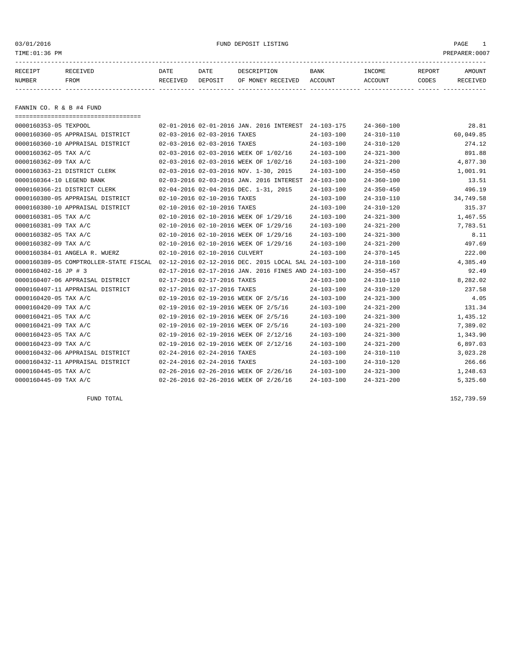03/01/2016 FUND DEPOSIT LISTING PAGE 1

| RECEIPT | <b>RECEIVED</b> | DATE            | DATE    | DESCRIPTION       | <b>BANK</b> | INCOME  | REPORT | AMOUNT          |
|---------|-----------------|-----------------|---------|-------------------|-------------|---------|--------|-----------------|
| NUMBER  | FROM            | <b>RECEIVED</b> | DEPOSIT | OF MONEY RECEIVED | ACCOUNT     | ACCOUNT | CODES  | <b>RECEIVED</b> |
|         |                 |                 |         |                   |             |         |        |                 |

FANNIN CO. R & B #4 FUND

| =====================================  |                                                      |                  |                  |           |
|----------------------------------------|------------------------------------------------------|------------------|------------------|-----------|
| 0000160353-05 TEXPOOL                  | 02-01-2016 02-01-2016 JAN. 2016 INTEREST 24-103-175  |                  | $24 - 360 - 100$ | 28.81     |
| 0000160360-05 APPRAISAL DISTRICT       | 02-03-2016 02-03-2016 TAXES                          | $24 - 103 - 100$ | $24 - 310 - 110$ | 60,049.85 |
| 0000160360-10 APPRAISAL DISTRICT       | 02-03-2016 02-03-2016 TAXES                          | $24 - 103 - 100$ | $24 - 310 - 120$ | 274.12    |
| 0000160362-05 TAX A/C                  | 02-03-2016 02-03-2016 WEEK OF 1/02/16                | $24 - 103 - 100$ | $24 - 321 - 300$ | 891.88    |
| 0000160362-09 TAX A/C                  | 02-03-2016 02-03-2016 WEEK OF 1/02/16                | $24 - 103 - 100$ | $24 - 321 - 200$ | 4,877.30  |
| 0000160363-21 DISTRICT CLERK           | 02-03-2016 02-03-2016 NOV. 1-30, 2015                | $24 - 103 - 100$ | $24 - 350 - 450$ | 1,001.91  |
| 0000160364-10 LEGEND BANK              | 02-03-2016 02-03-2016 JAN. 2016 INTEREST             | $24 - 103 - 100$ | $24 - 360 - 100$ | 13.51     |
| 0000160366-21 DISTRICT CLERK           | 02-04-2016 02-04-2016 DEC. 1-31, 2015                | $24 - 103 - 100$ | $24 - 350 - 450$ | 496.19    |
| 0000160380-05 APPRAISAL DISTRICT       | 02-10-2016 02-10-2016 TAXES                          | $24 - 103 - 100$ | $24 - 310 - 110$ | 34,749.58 |
| 0000160380-10 APPRAISAL DISTRICT       | 02-10-2016 02-10-2016 TAXES                          | $24 - 103 - 100$ | $24 - 310 - 120$ | 315.37    |
| 0000160381-05 TAX A/C                  | 02-10-2016 02-10-2016 WEEK OF 1/29/16                | $24 - 103 - 100$ | $24 - 321 - 300$ | 1,467.55  |
| 0000160381-09 TAX A/C                  | 02-10-2016 02-10-2016 WEEK OF 1/29/16                | $24 - 103 - 100$ | $24 - 321 - 200$ | 7,783.51  |
| 0000160382-05 TAX A/C                  | 02-10-2016 02-10-2016 WEEK OF 1/29/16                | $24 - 103 - 100$ | $24 - 321 - 300$ | 8.11      |
| 0000160382-09 TAX A/C                  | 02-10-2016 02-10-2016 WEEK OF 1/29/16                | $24 - 103 - 100$ | $24 - 321 - 200$ | 497.69    |
| 0000160384-01 ANGELA R. WUERZ          | 02-10-2016 02-10-2016 CULVERT                        | $24 - 103 - 100$ | $24 - 370 - 145$ | 222.00    |
| 0000160389-05 COMPTROLLER-STATE FISCAL | 02-12-2016 02-12-2016 DEC. 2015 LOCAL SAL 24-103-100 |                  | $24 - 318 - 160$ | 4,385.49  |
| 0000160402-16 JP # 3                   | 02-17-2016 02-17-2016 JAN. 2016 FINES AND 24-103-100 |                  | $24 - 350 - 457$ | 92.49     |
| 0000160407-06 APPRAISAL DISTRICT       | 02-17-2016 02-17-2016 TAXES                          | $24 - 103 - 100$ | $24 - 310 - 110$ | 8,282.02  |
| 0000160407-11 APPRAISAL DISTRICT       | 02-17-2016 02-17-2016 TAXES                          | $24 - 103 - 100$ | $24 - 310 - 120$ | 237.58    |
| 0000160420-05 TAX A/C                  | 02-19-2016 02-19-2016 WEEK OF 2/5/16                 | $24 - 103 - 100$ | $24 - 321 - 300$ | 4.05      |
| 0000160420-09 TAX A/C                  | 02-19-2016 02-19-2016 WEEK OF 2/5/16                 | $24 - 103 - 100$ | $24 - 321 - 200$ | 131.34    |
| 0000160421-05 TAX A/C                  | 02-19-2016 02-19-2016 WEEK OF 2/5/16                 | $24 - 103 - 100$ | $24 - 321 - 300$ | 1,435.12  |
| 0000160421-09 TAX A/C                  | 02-19-2016 02-19-2016 WEEK OF 2/5/16                 | $24 - 103 - 100$ | $24 - 321 - 200$ | 7,389.02  |
| 0000160423-05 TAX A/C                  | 02-19-2016 02-19-2016 WEEK OF 2/12/16                | $24 - 103 - 100$ | $24 - 321 - 300$ | 1,343.90  |
| 0000160423-09 TAX A/C                  | 02-19-2016 02-19-2016 WEEK OF 2/12/16                | $24 - 103 - 100$ | $24 - 321 - 200$ | 6,897.03  |
| 0000160432-06 APPRAISAL DISTRICT       | 02-24-2016 02-24-2016 TAXES                          | $24 - 103 - 100$ | $24 - 310 - 110$ | 3,023.28  |
| 0000160432-11 APPRAISAL DISTRICT       | 02-24-2016 02-24-2016 TAXES                          | $24 - 103 - 100$ | $24 - 310 - 120$ | 266.66    |
| 0000160445-05 TAX A/C                  | 02-26-2016 02-26-2016 WEEK OF 2/26/16                | $24 - 103 - 100$ | $24 - 321 - 300$ | 1,248.63  |
| 0000160445-09 TAX A/C                  | 02-26-2016 02-26-2016 WEEK OF 2/26/16                | $24 - 103 - 100$ | $24 - 321 - 200$ | 5,325.60  |

FUND TOTAL 152,739.59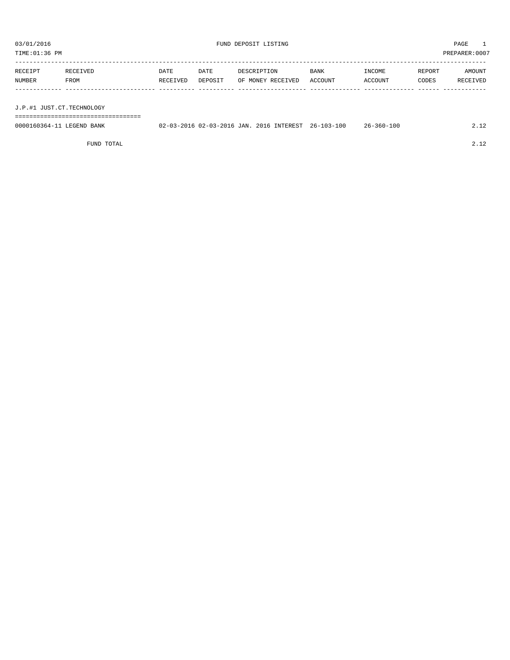| TIME:01:36 PM<br>PREPARER: 0007 |          |          |         |                   |             |         |        |          |
|---------------------------------|----------|----------|---------|-------------------|-------------|---------|--------|----------|
| RECEIPT                         | RECEIVED | DATE     | DATE    | DESCRIPTION       | <b>BANK</b> | INCOME  | REPORT | AMOUNT   |
| NUMBER                          | FROM     | RECEIVED | DEPOSIT | OF MONEY RECEIVED | ACCOUNT     | ACCOUNT | CODES  | RECEIVED |
|                                 |          |          |         |                   |             |         |        |          |
| J.P.#1 JUST.CT.TECHNOLOGY       |          |          |         |                   |             |         |        |          |

0000160364-11 LEGEND BANK 02-03-2016 02-03-2016 JAN. 2016 INTEREST 26-103-100 26-360-100 2.12

FUND TOTAL 2.12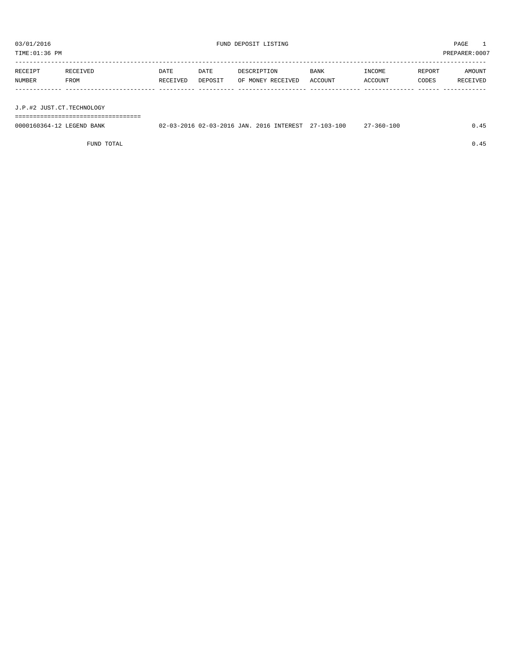TIME:01:36 PM PREPARER:0007 -----------------------------------------------------------------------------------------------------------------------------------

| RECEIPT | RECEIVED    | DATE     | DATE    | DESCRIPTION       | <b>BANK</b> | INCOME  | REPORT | AMOUNT   |
|---------|-------------|----------|---------|-------------------|-------------|---------|--------|----------|
| NUMBER  | <b>FROM</b> | RECEIVED | DEPOSIT | OF MONEY RECEIVED | ACCOUNT     | ACCOUNT | CODES  | RECEIVED |
|         |             |          |         |                   |             |         |        |          |

J.P.#2 JUST.CT.TECHNOLOGY

===================================

| 0000160364-12 LEGEND BANK | 02-03-2016 02-03-2016 JAN. 2016 INTEREST 27-103-100 |  | 27-360-100 | 0.45 |
|---------------------------|-----------------------------------------------------|--|------------|------|
|                           |                                                     |  |            |      |

FUND TOTAL  $0.45$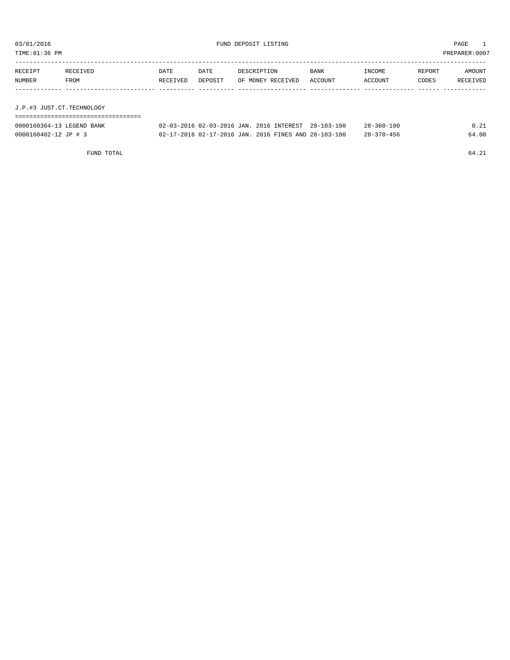| TIME:01:36 PM             |          |          |         |                   |         |         |        | PREPARER:0007 |
|---------------------------|----------|----------|---------|-------------------|---------|---------|--------|---------------|
|                           |          |          |         |                   |         |         |        |               |
| RECEIPT                   | RECEIVED | DATE     | DATE    | DESCRIPTION       | BANK    | INCOME  | REPORT | AMOUNT        |
| NUMBER                    | FROM     | RECEIVED | DEPOSIT | OF MONEY RECEIVED | ACCOUNT | ACCOUNT | CODES  | RECEIVED      |
|                           |          |          |         |                   |         |         |        |               |
|                           |          |          |         |                   |         |         |        |               |
| J.P.#3 JUST.CT.TECHNOLOGY |          |          |         |                   |         |         |        |               |
|                           |          |          |         |                   |         |         |        |               |
|                           |          |          |         |                   |         |         |        |               |

| 0000160364-13 LEGEND BANK | 02-03-2016 02-03-2016 JAN. 2016 INTEREST 28-103-100  | $28 - 360 - 100$ |       |
|---------------------------|------------------------------------------------------|------------------|-------|
| 0000160402-12 JP # 3      | 02-17-2016 02-17-2016 JAN. 2016 FINES AND 28-103-100 | $28 - 370 - 456$ | 64.00 |
|                           |                                                      |                  |       |

FUND TOTAL 64.21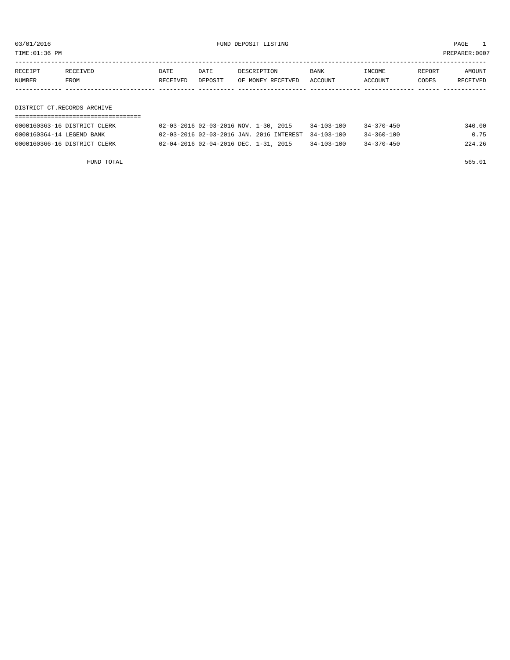TIME:01:36 PM PREPARER:0007

| RECEIPT | RECEIVED | DATE     | DATE    | DESCRIPTION       | <b>BANK</b> | INCOME  | REPORT | <b>AMOUNT</b> |
|---------|----------|----------|---------|-------------------|-------------|---------|--------|---------------|
| NUMBER  | FROM     | RECEIVED | DEPOSIT | OF MONEY RECEIVED | ACCOUNT     | ACCOUNT | CODES  | RECEIVED      |
|         |          |          |         |                   |             |         |        |               |
|         |          |          |         |                   |             |         |        |               |

DISTRICT CT.RECORDS ARCHIVE ===================================

| 0000160363-16 DISTRICT CLERK | 02-03-2016 02-03-2016 NOV. 1-30, 2015               | $34 - 103 - 100$ | $34 - 370 - 450$ | 340.00 |
|------------------------------|-----------------------------------------------------|------------------|------------------|--------|
| 0000160364-14 LEGEND BANK    | 02-03-2016 02-03-2016 JAN. 2016 INTEREST 34-103-100 |                  | $34 - 360 - 100$ | 0.75   |
| 0000160366-16 DISTRICT CLERK | 02-04-2016 02-04-2016 DEC. 1-31, 2015               | $34 - 103 - 100$ | $34 - 370 - 450$ | 224.26 |

FUND TOTAL 565.01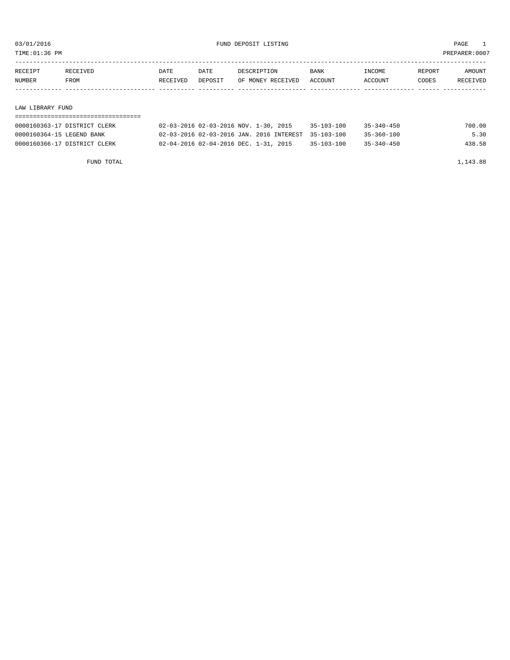TIME:01:36 PM PREPARER:0007

| RECEIPT | RECEIVED         | <b>DATE</b> | DATE    | DESCRIPTION       | <b>BANK</b> | INCOME         | REPORT | AMOUNT   |  |
|---------|------------------|-------------|---------|-------------------|-------------|----------------|--------|----------|--|
| NUMBER  | FROM             | RECEIVED    | DEPOSIT | OF MONEY RECEIVED | ACCOUNT     | <b>ACCOUNT</b> | CODES  | RECEIVED |  |
|         |                  |             |         |                   |             |                |        |          |  |
|         |                  |             |         |                   |             |                |        |          |  |
|         | LAW LIBRARY FUND |             |         |                   |             |                |        |          |  |
|         |                  |             |         |                   |             |                |        |          |  |

| 0000160363-17 DISTRICT CLERK | 02-03-2016 02-03-2016 NOV. 1-30, 2015               | $35 - 103 - 100$ | $35 - 340 - 450$ | 700.00 |
|------------------------------|-----------------------------------------------------|------------------|------------------|--------|
| 0000160364-15 LEGEND BANK    | 02-03-2016 02-03-2016 JAN. 2016 INTEREST 35-103-100 |                  | $35 - 360 - 100$ | 5.30   |
| 0000160366-17 DISTRICT CLERK | 02-04-2016 02-04-2016 DEC. 1-31, 2015               | $35 - 103 - 100$ | $35 - 340 - 450$ | 438.58 |

FUND TOTAL 1,143.88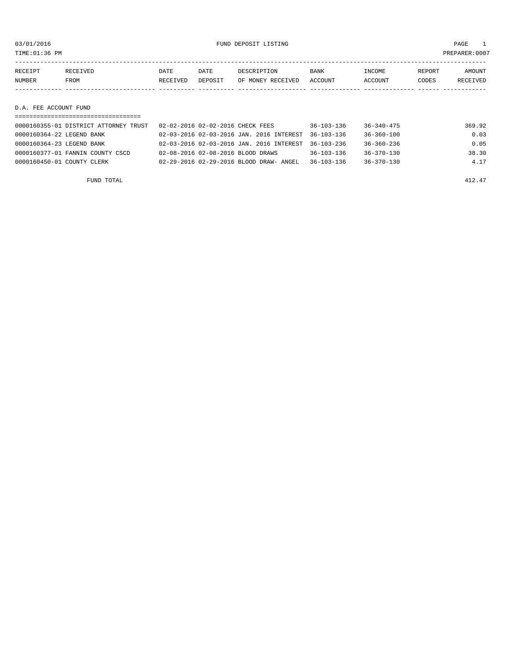03/01/2016 FUND DEPOSIT LISTING PAGE 1

| RECEIPT               | RECEIVED | DATE     | DATE    | DESCRIPTION       | <b>BANK</b> | INCOME  | REPORT | <b>AMOUNT</b> |
|-----------------------|----------|----------|---------|-------------------|-------------|---------|--------|---------------|
| NUMBER                | FROM     | RECEIVED | DEPOSIT | OF MONEY RECEIVED | ACCOUNT     | ACCOUNT | CODES  | RECEIVED      |
|                       |          |          |         |                   |             |         |        |               |
|                       |          |          |         |                   |             |         |        |               |
| D.A. FEE ACCOUNT FUND |          |          |         |                   |             |         |        |               |

| 0000160355-01 DISTRICT ATTORNEY TRUST | 02-02-2016 02-02-2016 CHECK FEES         | $36 - 103 - 136$ | $36 - 340 - 475$ | 369.92 |
|---------------------------------------|------------------------------------------|------------------|------------------|--------|
| 0000160364-22 LEGEND BANK             | 02-03-2016 02-03-2016 JAN. 2016 INTEREST | $36 - 103 - 136$ | $36 - 360 - 100$ | 0.03   |
| 0000160364-23 LEGEND BANK             | 02-03-2016 02-03-2016 JAN. 2016 INTEREST | $36 - 103 - 236$ | $36 - 360 - 236$ | 0.05   |
| 0000160377-01 FANNIN COUNTY CSCD      | 02-08-2016 02-08-2016 BLOOD DRAWS        | $36 - 103 - 136$ | $36 - 370 - 130$ | 38.30  |
| 0000160450-01 COUNTY CLERK            | 02-29-2016 02-29-2016 BLOOD DRAW- ANGEL  | $36 - 103 - 136$ | 36-370-130       | 4.17   |
|                                       |                                          |                  |                  |        |

FUND TOTAL  $412.47$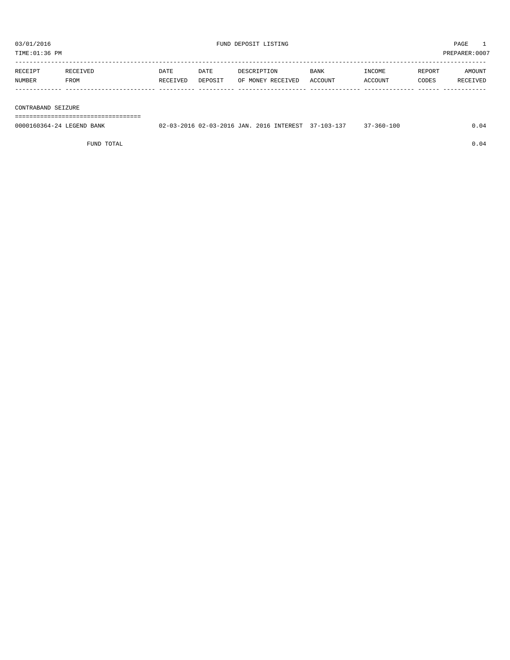| TIME:01:36 PM      |          |          |         |                   |         |         |        | PREPARER:0007 |
|--------------------|----------|----------|---------|-------------------|---------|---------|--------|---------------|
|                    |          |          |         |                   |         |         |        |               |
| RECEIPT            | RECEIVED | DATE     | DATE    | DESCRIPTION       | BANK    | INCOME  | REPORT | AMOUNT        |
| NUMBER             | FROM     | RECEIVED | DEPOSIT | OF MONEY RECEIVED | ACCOUNT | ACCOUNT | CODES  | RECEIVED      |
|                    |          |          |         |                   |         |         |        |               |
|                    |          |          |         |                   |         |         |        |               |
| CONTRABAND SEIZURE |          |          |         |                   |         |         |        |               |
|                    |          |          |         |                   |         |         |        |               |

| 0000160364-24 LEGEND BANK | 02-03-2016 02-03-2016 JAN. 2016 INTEREST 37-103-137 |  | 37-360-100 | .04 |
|---------------------------|-----------------------------------------------------|--|------------|-----|
|                           |                                                     |  |            |     |

FUND TOTAL  $0.04$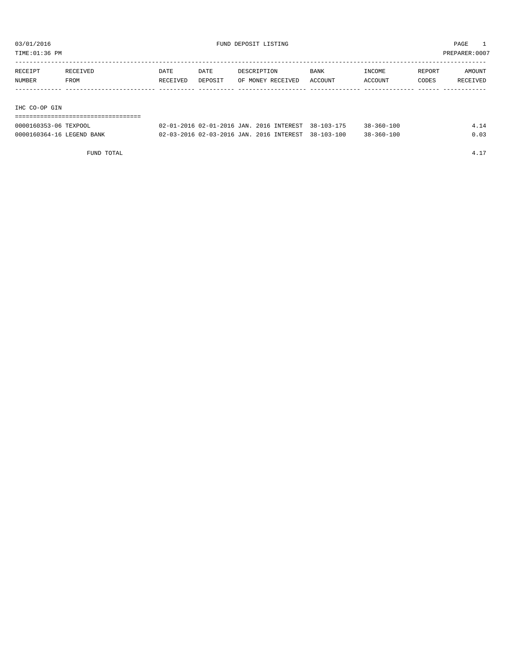| TIME:01:36 PM |          |          |         |                   |         |         | PREPARER:0007 |          |
|---------------|----------|----------|---------|-------------------|---------|---------|---------------|----------|
|               |          |          |         |                   |         |         |               |          |
| RECEIPT       | RECEIVED | DATE     | DATE    | DESCRIPTION       | BANK    | INCOME  | REPORT        | AMOUNT   |
| NUMBER        | FROM     | RECEIVED | DEPOSIT | OF MONEY RECEIVED | ACCOUNT | ACCOUNT | CODES         | RECEIVED |
|               |          |          |         |                   |         |         |               |          |
|               |          |          |         |                   |         |         |               |          |
| IHC CO-OP GIN |          |          |         |                   |         |         |               |          |

| -------------------------------<br>-------------------------- |  |                                                     |                  |      |
|---------------------------------------------------------------|--|-----------------------------------------------------|------------------|------|
| 0000160353-06 TEXPOOL                                         |  | 02-01-2016 02-01-2016 JAN. 2016 INTEREST 38-103-175 | $38 - 360 - 100$ | 4.14 |
| 0000160364-16 LEGEND BANK                                     |  | 02-03-2016 02-03-2016 JAN. 2016 INTEREST 38-103-100 | $38 - 360 - 100$ | 0.03 |

FUND TOTAL  $4.17$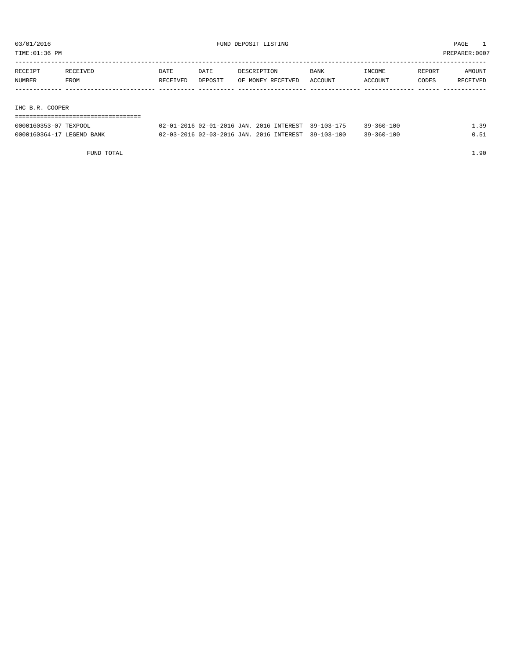| TIME:01:36 PM   |          |             |         |                   |             |         | PREPARER: 0007 |          |
|-----------------|----------|-------------|---------|-------------------|-------------|---------|----------------|----------|
|                 |          |             |         |                   |             |         |                |          |
| RECEIPT         | RECEIVED | <b>DATE</b> | DATE    | DESCRIPTION       | <b>BANK</b> | INCOME  | REPORT         | AMOUNT   |
| NUMBER          | FROM     | RECEIVED    | DEPOSIT | OF MONEY RECEIVED | ACCOUNT     | ACCOUNT | CODES          | RECEIVED |
|                 |          |             |         |                   |             |         |                |          |
|                 |          |             |         |                   |             |         |                |          |
| IHC B.R. COOPER |          |             |         |                   |             |         |                |          |
|                 |          |             |         |                   |             |         |                |          |

| 0000160353-07 TEXPOOL     | 02-01-2016 02-01-2016 JAN, 2016 INTEREST 39-103-175 |  | $39 - 360 - 100$ | 39 |
|---------------------------|-----------------------------------------------------|--|------------------|----|
| 0000160364-17 LEGEND BANK | 02-03-2016 02-03-2016 JAN. 2016 INTEREST 39-103-100 |  | $39 - 360 - 100$ |    |

FUND TOTAL 1.90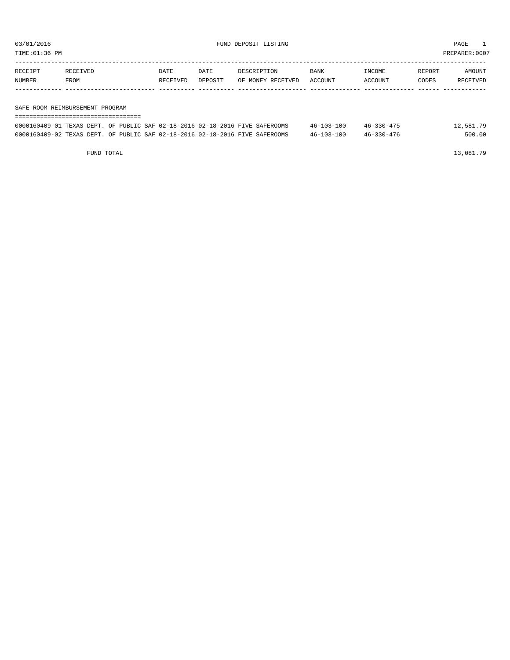TIME:01:36 PM PREPARER:0007

| RECEIPT | RECEIVED | DATE     | DATE    | DESCRIPTION       | BANK    | INCOME  | REPORT | AMOUNT   |
|---------|----------|----------|---------|-------------------|---------|---------|--------|----------|
| NUMBER  | FROM     | RECEIVED | DEPOSIT | OF MONEY RECEIVED | ACCOUNT | ACCOUNT | CODES  | RECEIVED |
|         |          |          |         |                   |         |         |        |          |
|         |          |          |         |                   |         |         |        |          |

SAFE ROOM REIMBURSEMENT PROGRAM

| =========================== |                                                                              |                  |                  |           |  |  |  |  |
|-----------------------------|------------------------------------------------------------------------------|------------------|------------------|-----------|--|--|--|--|
|                             | 0000160409-01 TEXAS DEPT. OF PUBLIC SAF 02-18-2016 02-18-2016 FIVE SAFEROOMS | $46 - 103 - 100$ | $46 - 330 - 475$ | 12,581.79 |  |  |  |  |
|                             | 0000160409-02 TEXAS DEPT. OF PUBLIC SAF 02-18-2016 02-18-2016 FIVE SAFEROOMS | $46 - 103 - 100$ | 46-330-476       | 500.00    |  |  |  |  |

FUND TOTAL  $13,081.79$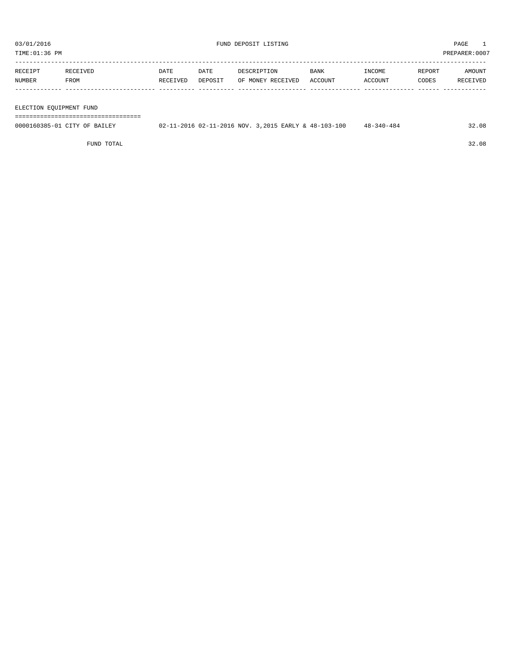TIME:01:36 PM PREPARER:0007

| RECEIPT | RECEIVED | DATE     | DATE    | DESCRIPTION       | <b>BANK</b> | INCOME  | REPORT | AMOUNT   |
|---------|----------|----------|---------|-------------------|-------------|---------|--------|----------|
| NUMBER  | FROM     | RECEIVED | DEPOSIT | OF MONEY RECEIVED | ACCOUNT     | ACCOUNT | CODES  | RECEIVED |
|         |          |          |         |                   |             |         |        |          |
|         |          |          |         |                   |             |         |        |          |

ELECTION EQUIPMENT FUND

===================================

| 0000160385-01 CITY OF BAILEY | $-11-2016$ 02-11-2016 NOV. 3,2015 EARLY & 48-103-100 | $48 - 340 - 484$ | 32.08 |
|------------------------------|------------------------------------------------------|------------------|-------|
|                              |                                                      |                  |       |

FUND TOTAL 32.08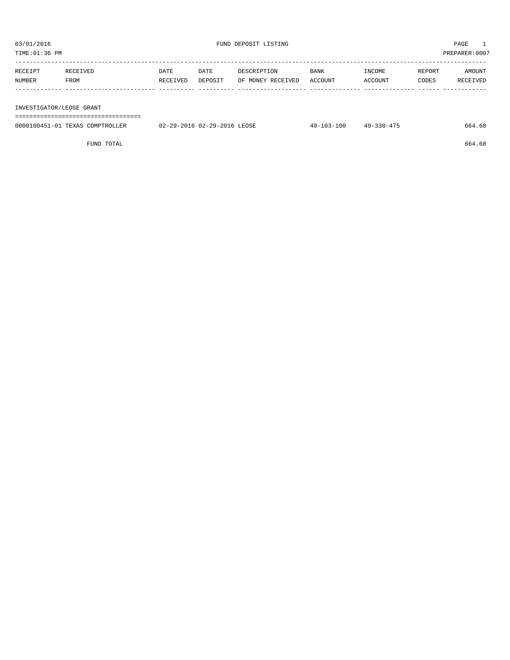| RECEIPT | RECEIVED | DATE     | DATE    | DESCRIPTION       | BANK    | <b>TNCOME</b> | REPORT | AMOUNT   |
|---------|----------|----------|---------|-------------------|---------|---------------|--------|----------|
| NUMBER  | FROM     | RECEIVED | DEPOSIT | OF MONEY RECEIVED | ACCOUNT | ACCOUNT       | CODES  | RECEIVED |
|         |          |          |         |                   |         |               |        |          |
|         |          |          |         |                   |         |               |        |          |

INVESTIGATOR/LEOSE GRANT

===================================

| 0000160451-01<br>TEXAS<br>COMPTROLLER | 02-29-2016 LEOSE<br>$02 - 29 - 2016$ | J3-10C<br>$\sim$<br>10-1 | 17<br>ำ ? ∩ – 4<br>49. | 1.68<br>664 |
|---------------------------------------|--------------------------------------|--------------------------|------------------------|-------------|
|                                       |                                      |                          |                        |             |

FUND TOTAL  $664.68$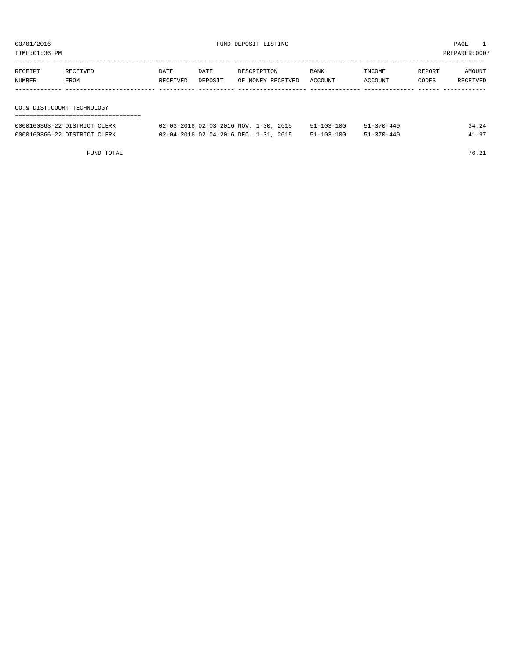TIME:01:36 PM PREPARER:0007

| RECEIPT                    | RECEIVED                     | DATE     | DATE    | DESCRIPTION                           | <b>BANK</b>      | INCOME           | REPORT | AMOUNT   |
|----------------------------|------------------------------|----------|---------|---------------------------------------|------------------|------------------|--------|----------|
| NUMBER                     | FROM                         | RECEIVED | DEPOSIT | OF MONEY RECEIVED                     | ACCOUNT          | ACCOUNT          | CODES  | RECEIVED |
|                            |                              |          |         |                                       |                  |                  |        |          |
|                            |                              |          |         |                                       |                  |                  |        |          |
| CO.& DIST.COURT TECHNOLOGY |                              |          |         |                                       |                  |                  |        |          |
|                            |                              |          |         |                                       |                  |                  |        |          |
|                            | 0000160363-22 DISTRICT CLERK |          |         | 02-03-2016 02-03-2016 NOV. 1-30, 2015 | $51 - 103 - 100$ | $51 - 370 - 440$ |        | 34.24    |

| 0000160366-22 DISTRICT CLERK | 02-04-2016 02-04-2016 DEC. 1-31, 2015 | 51-103-100 | $51 - 370 - 440$ | 41 97 |
|------------------------------|---------------------------------------|------------|------------------|-------|
| FUND TOTAL                   |                                       |            |                  | 76.21 |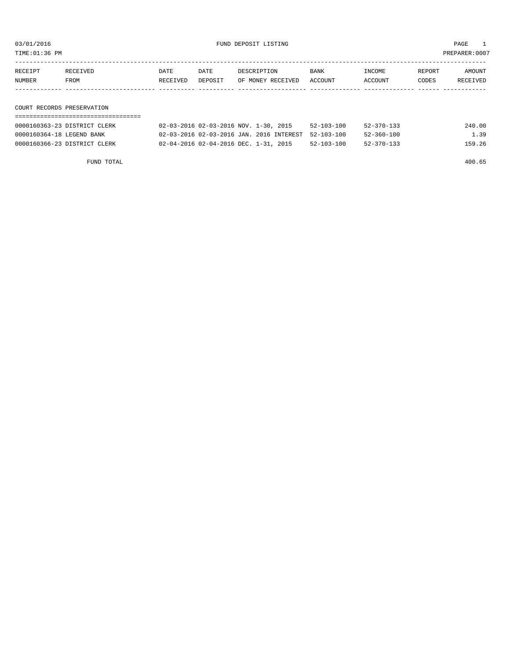TIME:01:36 PM PREPARER:0007

| RECEIPT | RECEIVED                   | DATE     | DATE    | DESCRIPTION       | <b>BANK</b> | INCOME  | REPORT | AMOUNT   |
|---------|----------------------------|----------|---------|-------------------|-------------|---------|--------|----------|
| NUMBER  | FROM                       | RECEIVED | DEPOSIT | OF MONEY RECEIVED | ACCOUNT     | ACCOUNT | CODES  | RECEIVED |
|         |                            |          |         |                   |             |         |        |          |
|         |                            |          |         |                   |             |         |        |          |
|         |                            |          |         |                   |             |         |        |          |
|         | COURT RECORDS PRESERVATION |          |         |                   |             |         |        |          |

### ===================================

| 0000160363-23 DISTRICT CLERK | 02-03-2016 02-03-2016 NOV. 1-30, 2015 |                                                     | $52 - 103 - 100$ | $52 - 370 - 133$ | 240.00 |
|------------------------------|---------------------------------------|-----------------------------------------------------|------------------|------------------|--------|
| 0000160364-18 LEGEND BANK    |                                       | 02-03-2016 02-03-2016 JAN. 2016 INTEREST 52-103-100 |                  | $52 - 360 - 100$ | 1.39   |
| 0000160366-23 DISTRICT CLERK | 02-04-2016 02-04-2016 DEC. 1-31, 2015 |                                                     | $52 - 103 - 100$ | $52 - 370 - 133$ | 159.26 |

FUND TOTAL 400.65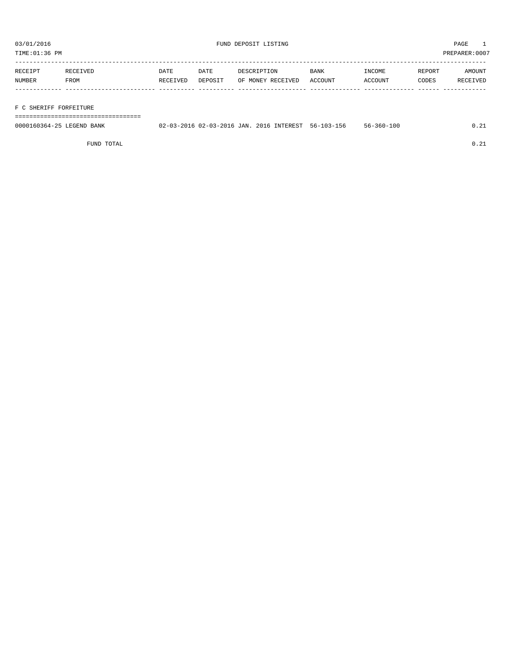TIME:01:36 PM PREPARER:0007

| RECEIPT | <b>RECEIVED</b> | DATE     | DATE    | DESCRIPTION       | <b>BANK</b> | INCOME  | REPORT | AMOUNT   |
|---------|-----------------|----------|---------|-------------------|-------------|---------|--------|----------|
| NUMBER  | FROM            | RECEIVED | DEPOSIT | OF MONEY RECEIVED | ACCOUNT     | ACCOUNT | CODES  | RECEIVED |
|         |                 |          |         |                   |             |         |        |          |

#### F C SHERIFF FORFEITURE

===================================

| 0000160364-25 LEGEND BANK | 02-03-2016 02-03-2016 JAN. 2016 INTEREST. |  | 56-103-156 | $56 - 360 - 100$ |  |
|---------------------------|-------------------------------------------|--|------------|------------------|--|
|                           |                                           |  |            |                  |  |

FUND TOTAL  $0.21$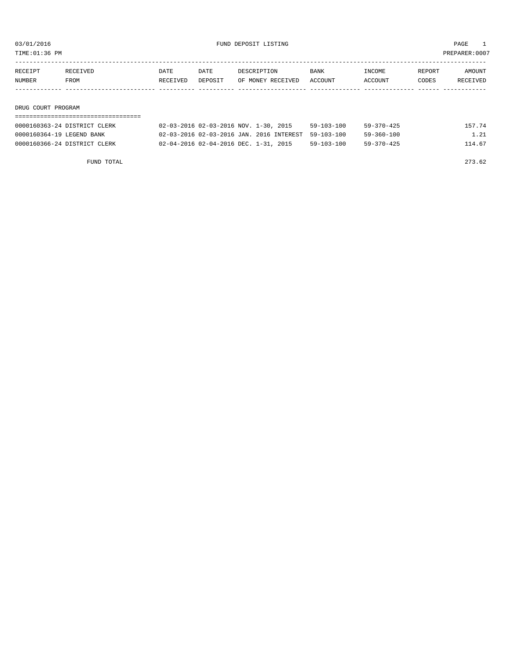03/01/2016 PAGE 1<br>
FUND DEPOSIT LISTING<br>
TIME:01:36 PM

PREPARER:0007

| TIME:UI:30 PM |  |  |
|---------------|--|--|
|               |  |  |

| RECEIPT | RECEIVED           | DATE     | DATE    | DESCRIPTION       | BANK    | INCOME  | REPORT | AMOUNT   |  |  |  |  |  |  |
|---------|--------------------|----------|---------|-------------------|---------|---------|--------|----------|--|--|--|--|--|--|
| NUMBER  | FROM               | RECEIVED | DEPOSIT | OF MONEY RECEIVED | ACCOUNT | ACCOUNT | CODES  | RECEIVED |  |  |  |  |  |  |
|         |                    |          |         |                   |         |         |        |          |  |  |  |  |  |  |
|         |                    |          |         |                   |         |         |        |          |  |  |  |  |  |  |
|         | DRUG COURT PROGRAM |          |         |                   |         |         |        |          |  |  |  |  |  |  |
|         |                    |          |         |                   |         |         |        |          |  |  |  |  |  |  |

| 0000160363-24 DISTRICT CLERK | 02-03-2016 02-03-2016 NOV. 1-30, 2015               | $59 - 103 - 100$ | $59 - 370 - 425$ | 157.74 |
|------------------------------|-----------------------------------------------------|------------------|------------------|--------|
| 0000160364-19 LEGEND BANK    | 02-03-2016 02-03-2016 JAN. 2016 INTEREST 59-103-100 |                  | 59-360-100       | 1.21   |
| 0000160366-24 DISTRICT CLERK | 02-04-2016 02-04-2016 DEC. 1-31, 2015               | $59 - 103 - 100$ | $59 - 370 - 425$ | 114.67 |

FUND TOTAL 273.62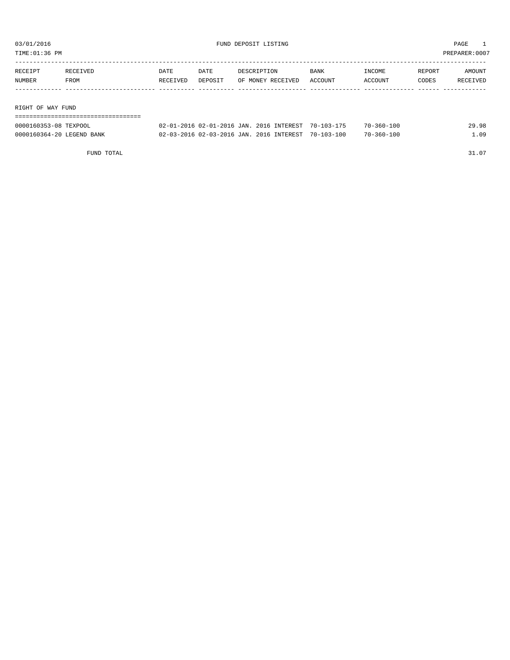| TIME:01:36 PM     |          |          |         |                   |         |         |        | PREPARER:0007 |
|-------------------|----------|----------|---------|-------------------|---------|---------|--------|---------------|
|                   |          |          |         |                   |         |         |        |               |
| RECEIPT           | RECEIVED | DATE     | DATE    | DESCRIPTION       | BANK    | INCOME  | REPORT | AMOUNT        |
| NUMBER            | FROM     | RECEIVED | DEPOSIT | OF MONEY RECEIVED | ACCOUNT | ACCOUNT | CODES  | RECEIVED      |
|                   |          |          |         |                   |         |         |        |               |
|                   |          |          |         |                   |         |         |        |               |
| RIGHT OF WAY FUND |          |          |         |                   |         |         |        |               |
|                   |          |          |         |                   |         |         |        |               |

| 0000160353-08 TEXPOOL     | 02-01-2016 02-01-2016 JAN, 2016 INTEREST 70-103-175 |  | $70 - 360 - 100$ | 29.98 |
|---------------------------|-----------------------------------------------------|--|------------------|-------|
| 0000160364-20 LEGEND BANK | 02-03-2016 02-03-2016 JAN. 2016 INTEREST 70-103-100 |  | $70 - 360 - 100$ | .09   |

FUND TOTAL  $31.07$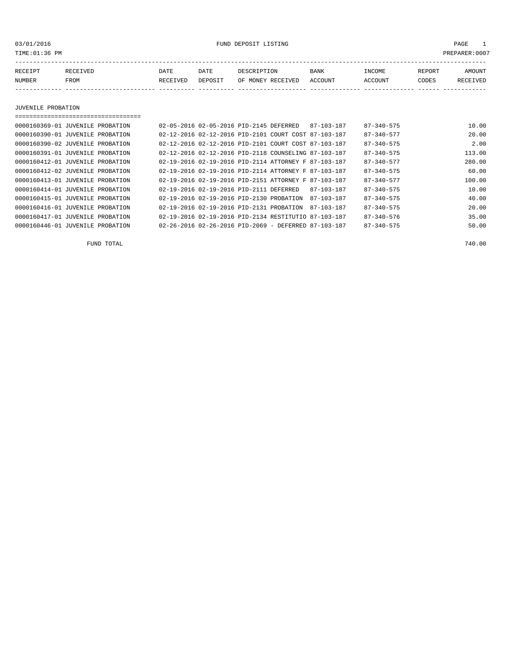03/01/2016 FUND DEPOSIT LISTING PAGE 1

| RECEIPT | <b>RECEIVED</b> | DATE            | DATE    | DESCRIPTION       | <b>BANK</b> | <b>INCOME</b> | REPORT | AMOUNT          |
|---------|-----------------|-----------------|---------|-------------------|-------------|---------------|--------|-----------------|
| NUMBER  | FROM            | <b>RECEIVED</b> | DEPOSIT | OF MONEY RECEIVED | ACCOUNT     | ACCOUNT       | CODES  | <b>RECEIVED</b> |
|         |                 |                 |         |                   |             |               |        |                 |

JUVENILE PROBATION

===================================

| 0000160369-01 JUVENILE PROBATION |  | 02-05-2016 02-05-2016 PTD-2145 DEFERRED  |                                                                  | 87-103-187       | $87 - 340 - 575$ | 10.00  |
|----------------------------------|--|------------------------------------------|------------------------------------------------------------------|------------------|------------------|--------|
| 0000160390-01 JUVENILE PROBATION |  |                                          | 02-12-2016 02-12-2016 PID-2101 COURT COST 87-103-187             |                  | $87 - 340 - 577$ | 20.00  |
| 0000160390-02 JUVENILE PROBATION |  |                                          | 02-12-2016 02-12-2016 PID-2101 COURT COST 87-103-187             |                  | $87 - 340 - 575$ | 2.00   |
| 0000160391-01 JUVENILE PROBATION |  |                                          | 02-12-2016 02-12-2016 PID-2118 COUNSELING 87-103-187             |                  | $87 - 340 - 575$ | 113.00 |
| 0000160412-01 JUVENILE PROBATION |  |                                          | 02-19-2016 02-19-2016 PID-2114 ATTORNEY F 87-103-187             |                  | $87 - 340 - 577$ | 280.00 |
| 0000160412-02 JUVENILE PROBATION |  |                                          | 02-19-2016 02-19-2016 PID-2114 ATTORNEY F 87-103-187             |                  | $87 - 340 - 575$ | 60.00  |
| 0000160413-01 JUVENILE PROBATION |  |                                          | 02-19-2016 02-19-2016 PID-2151 ATTORNEY F 87-103-187             |                  | $87 - 340 - 577$ | 100.00 |
| 0000160414-01 JUVENILE PROBATION |  | 02-19-2016 02-19-2016 PID-2111 DEFERRED  |                                                                  | $87 - 103 - 187$ | $87 - 340 - 575$ | 10.00  |
| 0000160415-01 JUVENILE PROBATION |  | 02-19-2016 02-19-2016 PID-2130 PROBATION |                                                                  | 87-103-187       | $87 - 340 - 575$ | 40.00  |
| 0000160416-01 JUVENILE PROBATION |  | 02-19-2016 02-19-2016 PID-2131 PROBATION |                                                                  | 87-103-187       | $87 - 340 - 575$ | 20.00  |
| 0000160417-01 JUVENILE PROBATION |  |                                          | 02-19-2016 02-19-2016 PID-2134 RESTITUTIO 87-103-187             |                  | $87 - 340 - 576$ | 35.00  |
| 0000160446-01 JUVENILE PROBATION |  |                                          | $02 - 26 - 2016$ $02 - 26 - 2016$ PID-2069 - DEFERRED 87-103-187 |                  | $87 - 340 - 575$ | 50.00  |
|                                  |  |                                          |                                                                  |                  |                  |        |

FUND TOTAL 740.00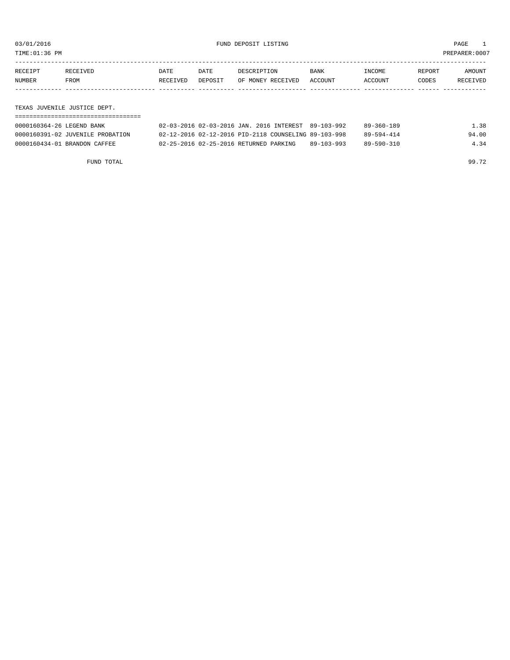TIME:01:36 PM PREPARER:0007

| RECEIPT | RECEIVED | DATE     | DATE    | DESCRIPTION       | <b>BANK</b> | INCOME  | REPORT | AMOUNT   |
|---------|----------|----------|---------|-------------------|-------------|---------|--------|----------|
| NUMBER  | FROM     | RECEIVED | DEPOSIT | OF MONEY RECEIVED | ACCOUNT     | ACCOUNT | CODES  | RECEIVED |
|         |          |          |         |                   |             |         |        |          |

TEXAS JUVENILE JUSTICE DEPT.

| 0000160364-26 LEGEND BANK        | 02-03-2016 02-03-2016 JAN. 2016 INTEREST 89-103-992  |            | 89-360-189 | 1.38  |
|----------------------------------|------------------------------------------------------|------------|------------|-------|
| 0000160391-02 JUVENILE PROBATION | 02-12-2016 02-12-2016 PID-2118 COUNSELING 89-103-998 |            | 89-594-414 | 94.00 |
| 0000160434-01 BRANDON CAFFEE     | 02-25-2016 02-25-2016 RETURNED PARKING               | 89-103-993 | 89-590-310 | 4.34  |

FUND TOTAL 99.72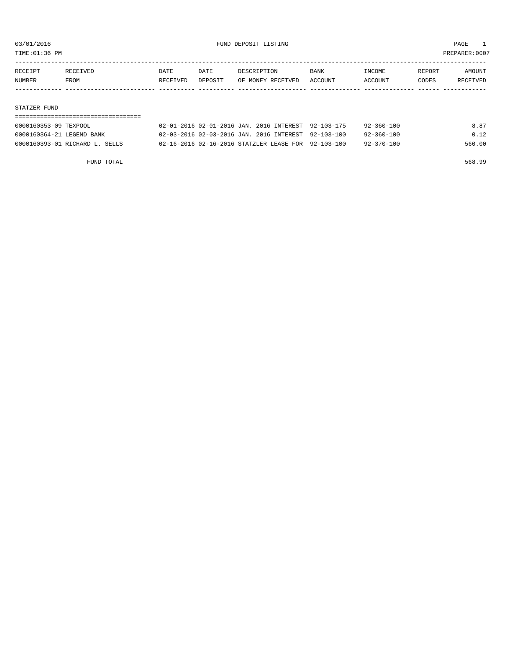TIME:01:36 PM PREPARER:0007

| RECEIPT | RECEIVED    | DATE     | DATE    | DESCRIPTION       | <b>BANK</b> | INCOME  | REPORT | AMOUNT   |
|---------|-------------|----------|---------|-------------------|-------------|---------|--------|----------|
| NUMBER  | <b>FROM</b> | RECEIVED | DEPOSIT | OF MONEY RECEIVED | ACCOUNT     | ACCOUNT | CODES  | RECEIVED |
|         |             |          |         |                   |             |         |        |          |
|         |             |          |         |                   |             |         |        |          |

#### STATZER FUND

| 0000160353-09 TEXPOOL          | 02-01-2016 02-01-2016 JAN. 2016 INTEREST 92-103-175 | 92-360-100       | 8.87   |
|--------------------------------|-----------------------------------------------------|------------------|--------|
| 0000160364-21 LEGEND BANK      | 02-03-2016 02-03-2016 JAN. 2016 INTEREST 92-103-100 | 92-360-100       | 0.12   |
| 0000160393-01 RICHARD L. SELLS | 02-16-2016 02-16-2016 STATZLER LEASE FOR 92-103-100 | $92 - 370 - 100$ | 560.00 |

FUND TOTAL 568.99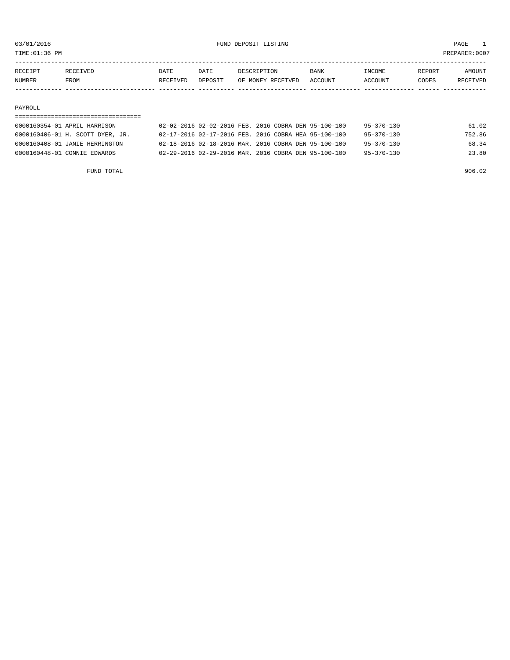TIME:01:36 PM PREPARER:0007

| RECEIPT       | RECEIVED    | DATE     | <b>DATE</b> | DESCRIPTION       | <b>BANK</b> | <b>TNCOME</b>  | REPORT | AMOUNT          |
|---------------|-------------|----------|-------------|-------------------|-------------|----------------|--------|-----------------|
| <b>NUMBER</b> | <b>FROM</b> | RECEIVED | DEPOSIT     | OF MONEY RECEIVED | ACCOUNT     | <b>ACCOUNT</b> | CODES  | <b>RECEIVED</b> |
|               |             |          |             |                   |             |                |        |                 |

#### PAYROLL

| 0000160354-01 APRIL HARRISON     | 02-02-2016 02-02-2016 FEB. 2016 COBRA DEN 95-100-100 | 95-370-130       | 61.02  |
|----------------------------------|------------------------------------------------------|------------------|--------|
| 0000160406-01 H. SCOTT DYER, JR. | 02-17-2016 02-17-2016 FEB. 2016 COBRA HEA 95-100-100 | $95 - 370 - 130$ | 752.86 |
| 0000160408-01 JANIE HERRINGTON   | 02-18-2016 02-18-2016 MAR, 2016 COBRA DEN 95-100-100 | $95 - 370 - 130$ | 68.34  |
| 0000160448-01 CONNIE EDWARDS     | 02-29-2016 02-29-2016 MAR. 2016 COBRA DEN 95-100-100 | $95 - 370 - 130$ | 23.80  |

FUND TOTAL 906.02